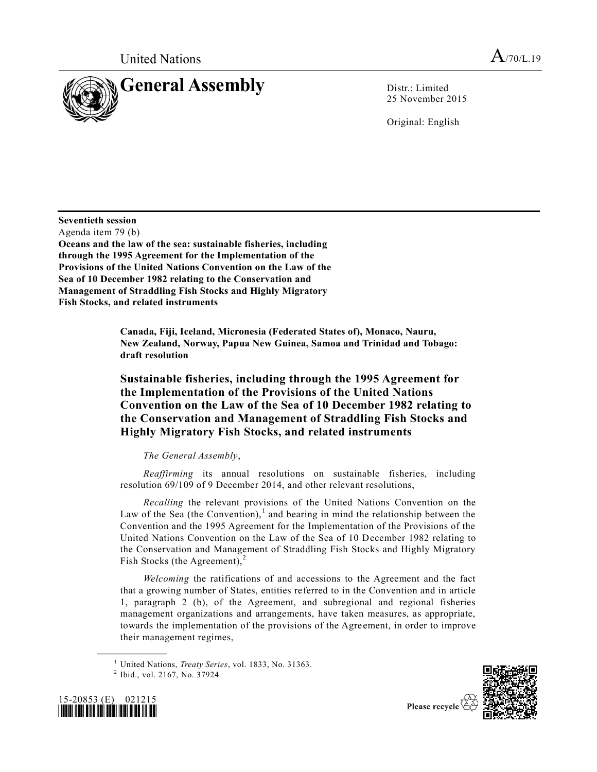

25 November 2015

Original: English

**Seventieth session**

Agenda item 79 (b)

**Oceans and the law of the sea: sustainable fisheries, including through the 1995 Agreement for the Implementation of the Provisions of the United Nations Convention on the Law of the Sea of 10 December 1982 relating to the Conservation and Management of Straddling Fish Stocks and Highly Migratory Fish Stocks, and related instruments**

> **Canada, Fiji, Iceland, Micronesia (Federated States of), Monaco, Nauru, New Zealand, Norway, Papua New Guinea, Samoa and Trinidad and Tobago: draft resolution**

# **Sustainable fisheries, including through the 1995 Agreement for the Implementation of the Provisions of the United Nations Convention on the Law of the Sea of 10 December 1982 relating to the Conservation and Management of Straddling Fish Stocks and Highly Migratory Fish Stocks, and related instruments**

# *The General Assembly*,

*Reaffirming* its annual resolutions on sustainable fisheries, including resolution 69/109 of 9 December 2014, and other relevant resolutions,

*Recalling* the relevant provisions of the United Nations Convention on the Law of the Sea (the Convention),<sup>1</sup> and bearing in mind the relationship between the Convention and the 1995 Agreement for the Implementation of the Provisions of the United Nations Convention on the Law of the Sea of 10 December 1982 relating to the Conservation and Management of Straddling Fish Stocks and Highly Migratory Fish Stocks (the Agreement), $<sup>2</sup>$ </sup>

*Welcoming* the ratifications of and accessions to the Agreement and the fact that a growing number of States, entities referred to in the Convention and in article 1, paragraph 2 (b), of the Agreement, and subregional and regional fisheries management organizations and arrangements, have taken measures, as appropriate, towards the implementation of the provisions of the Agreement, in order to improve their management regimes,

<sup>&</sup>lt;sup>2</sup> Ibid., vol. 2167, No. 37924.





<sup>1</sup> United Nations, *Treaty Series*, vol. 1833, No. 31363.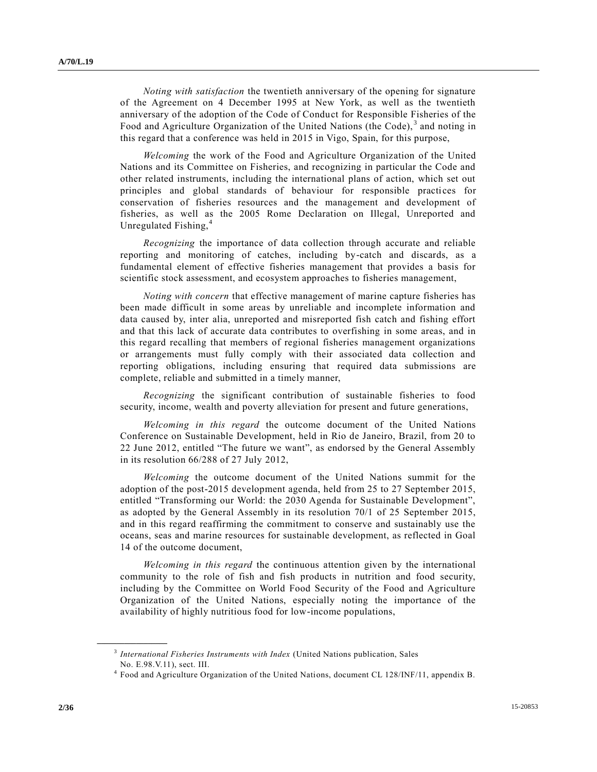*Noting with satisfaction* the twentieth anniversary of the opening for signature of the Agreement on 4 December 1995 at New York, as well as the twentieth anniversary of the adoption of the Code of Conduct for Responsible Fisheries of the Food and Agriculture Organization of the United Nations (the Code),<sup>3</sup> and noting in this regard that a conference was held in 2015 in Vigo, Spain, for this purpose,

*Welcoming* the work of the Food and Agriculture Organization of the United Nations and its Committee on Fisheries, and recognizing in particular the Code and other related instruments, including the international plans of action, which set out principles and global standards of behaviour for responsible practices for conservation of fisheries resources and the management and development of fisheries, as well as the 2005 Rome Declaration on Illegal, Unreported and Unregulated Fishing,<sup>4</sup>

*Recognizing* the importance of data collection through accurate and reliable reporting and monitoring of catches, including by-catch and discards, as a fundamental element of effective fisheries management that provides a basis for scientific stock assessment, and ecosystem approaches to fisheries management,

*Noting with concern* that effective management of marine capture fisheries has been made difficult in some areas by unreliable and incomplete information and data caused by, inter alia, unreported and misreported fish catch and fishing effort and that this lack of accurate data contributes to overfishing in some areas, and in this regard recalling that members of regional fisheries management organizations or arrangements must fully comply with their associated data collection and reporting obligations, including ensuring that required data submissions are complete, reliable and submitted in a timely manner,

*Recognizing* the significant contribution of sustainable fisheries to food security, income, wealth and poverty alleviation for present and future generations,

*Welcoming in this regard* the outcome document of the United Nations Conference on Sustainable Development, held in Rio de Janeiro, Brazil, from 20 to 22 June 2012, entitled "The future we want", as endorsed by the General Assembly in its resolution 66/288 of 27 July 2012,

*Welcoming* the outcome document of the United Nations summit for the adoption of the post-2015 development agenda, held from 25 to 27 September 2015, entitled "Transforming our World: the 2030 Agenda for Sustainable Development", as adopted by the General Assembly in its resolution 70/1 of 25 September 2015, and in this regard reaffirming the commitment to conserve and sustainably use the oceans, seas and marine resources for sustainable development, as reflected in Goal 14 of the outcome document,

*Welcoming in this regard* the continuous attention given by the international community to the role of fish and fish products in nutrition and food security, including by the Committee on World Food Security of the Food and Agriculture Organization of the United Nations, especially noting the importance of the availability of highly nutritious food for low-income populations,

<sup>3</sup> *International Fisheries Instruments with Index* (United Nations publication, Sales No. E.98.V.11), sect. III.

<sup>4</sup> Food and Agriculture Organization of the United Nations, document CL 128/INF/11, appendix B.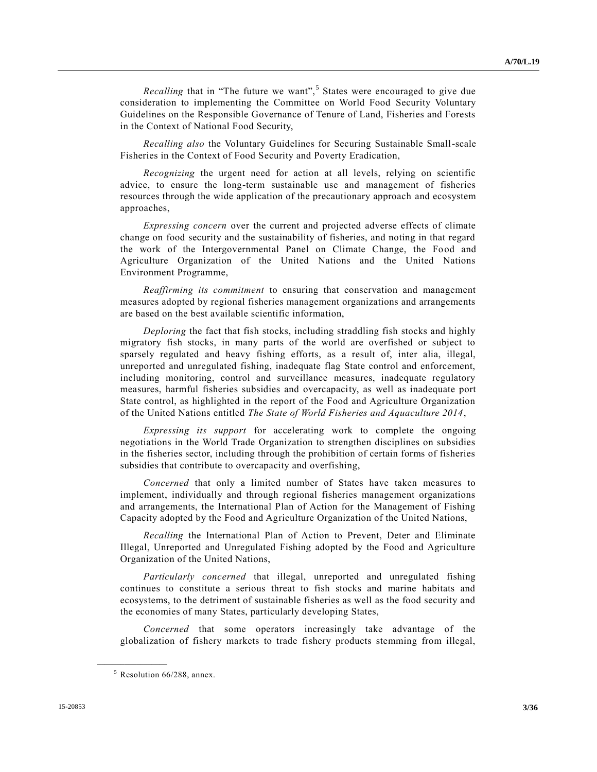*Recalling* that in "The future we want",<sup>5</sup> States were encouraged to give due consideration to implementing the Committee on World Food Security Voluntary Guidelines on the Responsible Governance of Tenure of Land, Fisheries and Forests in the Context of National Food Security,

*Recalling also* the Voluntary Guidelines for Securing Sustainable Small-scale Fisheries in the Context of Food Security and Poverty Eradication,

*Recognizing* the urgent need for action at all levels, relying on scientific advice, to ensure the long-term sustainable use and management of fisheries resources through the wide application of the precautionary approach and ecosystem approaches,

*Expressing concern* over the current and projected adverse effects of climate change on food security and the sustainability of fisheries, and noting in that regard the work of the Intergovernmental Panel on Climate Change, the Food and Agriculture Organization of the United Nations and the United Nations Environment Programme,

*Reaffirming its commitment* to ensuring that conservation and management measures adopted by regional fisheries management organizations and arrangements are based on the best available scientific information,

*Deploring* the fact that fish stocks, including straddling fish stocks and highly migratory fish stocks, in many parts of the world are overfished or subject to sparsely regulated and heavy fishing efforts, as a result of, inter alia, illegal, unreported and unregulated fishing, inadequate flag State control and enforcement, including monitoring, control and surveillance measures, inadequate regulatory measures, harmful fisheries subsidies and overcapacity, as well as inadequate port State control, as highlighted in the report of the Food and Agriculture Organization of the United Nations entitled *The State of World Fisheries and Aquaculture 2014*,

*Expressing its support* for accelerating work to complete the ongoing negotiations in the World Trade Organization to strengthen disciplines on subsidies in the fisheries sector, including through the prohibition of certain forms of fisheries subsidies that contribute to overcapacity and overfishing,

*Concerned* that only a limited number of States have taken measures to implement, individually and through regional fisheries management organizations and arrangements, the International Plan of Action for the Management of Fishing Capacity adopted by the Food and Agriculture Organization of the United Nations,

*Recalling* the International Plan of Action to Prevent, Deter and Eliminate Illegal, Unreported and Unregulated Fishing adopted by the Food and Agriculture Organization of the United Nations,

*Particularly concerned* that illegal, unreported and unregulated fishing continues to constitute a serious threat to fish stocks and marine habitats and ecosystems, to the detriment of sustainable fisheries as well as the food security and the economies of many States, particularly developing States,

*Concerned* that some operators increasingly take advantage of the globalization of fishery markets to trade fishery products stemming from illegal,

<sup>5</sup> Resolution 66/288, annex.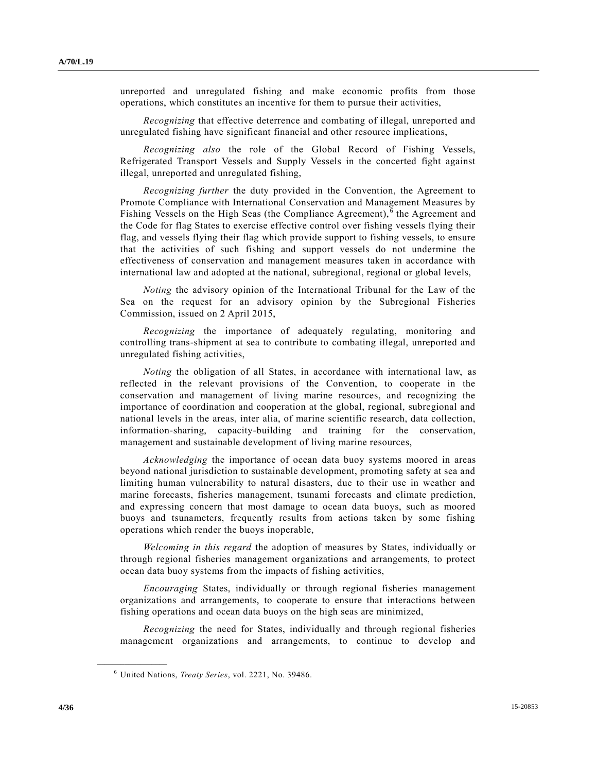unreported and unregulated fishing and make economic profits from those operations, which constitutes an incentive for them to pursue their activities,

*Recognizing* that effective deterrence and combating of illegal, unreported and unregulated fishing have significant financial and other resource implications,

*Recognizing also* the role of the Global Record of Fishing Vessels, Refrigerated Transport Vessels and Supply Vessels in the concerted fight against illegal, unreported and unregulated fishing,

*Recognizing further* the duty provided in the Convention, the Agreement to Promote Compliance with International Conservation and Management Measures by Fishing Vessels on the High Seas (the Compliance Agreement),  $\overline{6}$  the Agreement and the Code for flag States to exercise effective control over fishing vessels flying their flag, and vessels flying their flag which provide support to fishing vessels, to ensure that the activities of such fishing and support vessels do not undermine the effectiveness of conservation and management measures taken in accordance with international law and adopted at the national, subregional, regional or global levels,

*Noting* the advisory opinion of the International Tribunal for the Law of the Sea on the request for an advisory opinion by the Subregional Fisheries Commission, issued on 2 April 2015,

*Recognizing* the importance of adequately regulating, monitoring and controlling trans-shipment at sea to contribute to combating illegal, unreported and unregulated fishing activities,

*Noting* the obligation of all States, in accordance with international law, as reflected in the relevant provisions of the Convention, to cooperate in the conservation and management of living marine resources, and recognizing the importance of coordination and cooperation at the global, regional, subregional and national levels in the areas, inter alia, of marine scientific research, data collection, information-sharing, capacity-building and training for the conservation, management and sustainable development of living marine resources,

*Acknowledging* the importance of ocean data buoy systems moored in areas beyond national jurisdiction to sustainable development, promoting safety at sea and limiting human vulnerability to natural disasters, due to their use in weather and marine forecasts, fisheries management, tsunami forecasts and climate prediction, and expressing concern that most damage to ocean data buoys, such as moored buoys and tsunameters, frequently results from actions taken by some fishing operations which render the buoys inoperable,

*Welcoming in this regard* the adoption of measures by States, individually or through regional fisheries management organizations and arrangements, to protect ocean data buoy systems from the impacts of fishing activities,

*Encouraging* States, individually or through regional fisheries management organizations and arrangements, to cooperate to ensure that interactions between fishing operations and ocean data buoys on the high seas are minimized,

*Recognizing* the need for States, individually and through regional fisheries management organizations and arrangements, to continue to develop and

<sup>6</sup> United Nations, *Treaty Series*, vol. 2221, No. 39486.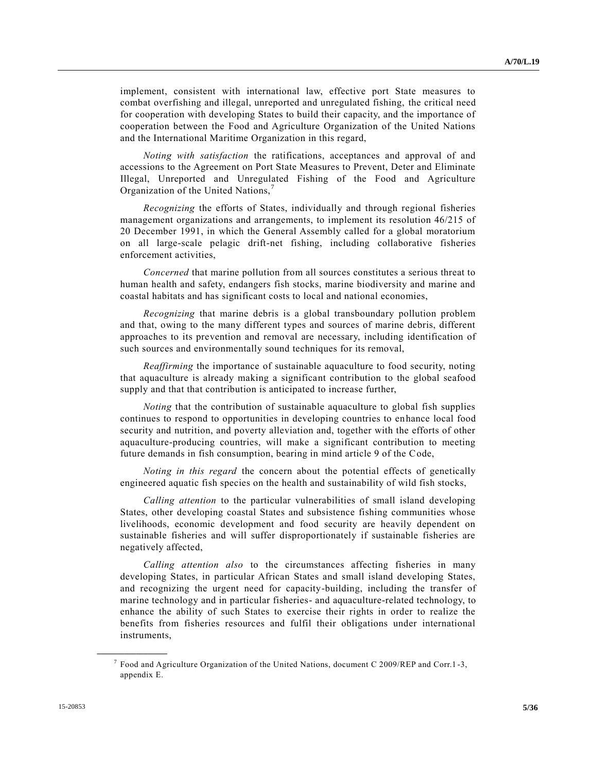implement, consistent with international law, effective port State measures to combat overfishing and illegal, unreported and unregulated fishing, the critical need for cooperation with developing States to build their capacity, and the importance of cooperation between the Food and Agriculture Organization of the United Nations and the International Maritime Organization in this regard,

*Noting with satisfaction* the ratifications, acceptances and approval of and accessions to the Agreement on Port State Measures to Prevent, Deter and Eliminate Illegal, Unreported and Unregulated Fishing of the Food and Agriculture Organization of the United Nations,<sup>7</sup>

*Recognizing* the efforts of States, individually and through regional fisheries management organizations and arrangements, to implement its resolution 46/215 of 20 December 1991, in which the General Assembly called for a global moratorium on all large-scale pelagic drift-net fishing, including collaborative fisheries enforcement activities,

*Concerned* that marine pollution from all sources constitutes a serious threat to human health and safety, endangers fish stocks, marine biodiversity and marine and coastal habitats and has significant costs to local and national economies,

*Recognizing* that marine debris is a global transboundary pollution problem and that, owing to the many different types and sources of marine debris, different approaches to its prevention and removal are necessary, including identification of such sources and environmentally sound techniques for its removal,

*Reaffirming* the importance of sustainable aquaculture to food security, noting that aquaculture is already making a significant contribution to the global seafood supply and that that contribution is anticipated to increase further,

*Noting* that the contribution of sustainable aquaculture to global fish supplies continues to respond to opportunities in developing countries to enhance local food security and nutrition, and poverty alleviation and, together with the efforts of other aquaculture-producing countries, will make a significant contribution to meeting future demands in fish consumption, bearing in mind article 9 of the Code,

*Noting in this regard* the concern about the potential effects of genetically engineered aquatic fish species on the health and sustainability of wild fish stocks,

*Calling attention* to the particular vulnerabilities of small island developing States, other developing coastal States and subsistence fishing communities whose livelihoods, economic development and food security are heavily dependent on sustainable fisheries and will suffer disproportionately if sustainable fisheries are negatively affected,

*Calling attention also* to the circumstances affecting fisheries in many developing States, in particular African States and small island developing States, and recognizing the urgent need for capacity-building, including the transfer of marine technology and in particular fisheries- and aquaculture-related technology, to enhance the ability of such States to exercise their rights in order to realize the benefits from fisheries resources and fulfil their obligations under international instruments,

<sup>&</sup>lt;sup>7</sup> Food and Agriculture Organization of the United Nations, document C 2009/REP and Corr.1-3, appendix E.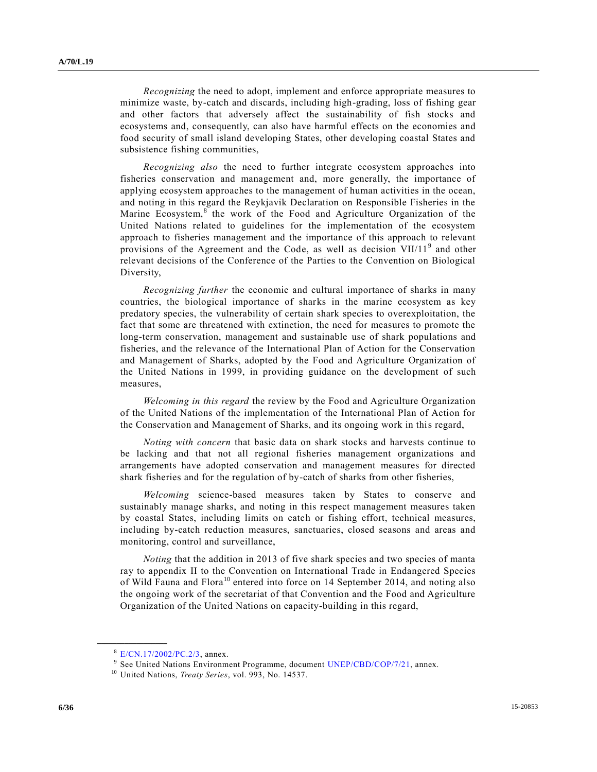*Recognizing* the need to adopt, implement and enforce appropriate measures to minimize waste, by-catch and discards, including high-grading, loss of fishing gear and other factors that adversely affect the sustainability of fish stocks and ecosystems and, consequently, can also have harmful effects on the economies and food security of small island developing States, other developing coastal States and subsistence fishing communities,

*Recognizing also* the need to further integrate ecosystem approaches into fisheries conservation and management and, more generally, the importance of applying ecosystem approaches to the management of human activities in the ocean, and noting in this regard the Reykjavik Declaration on Responsible Fisheries in the Marine Ecosystem,<sup>8</sup> the work of the Food and Agriculture Organization of the United Nations related to guidelines for the implementation of the ecosystem approach to fisheries management and the importance of this approach to relevant provisions of the Agreement and the Code, as well as decision VII/11<sup>9</sup> and other relevant decisions of the Conference of the Parties to the Convention on Biological Diversity,

*Recognizing further* the economic and cultural importance of sharks in many countries, the biological importance of sharks in the marine ecosystem as key predatory species, the vulnerability of certain shark species to overexploitation, the fact that some are threatened with extinction, the need for measures to promote the long-term conservation, management and sustainable use of shark populations and fisheries, and the relevance of the International Plan of Action for the Conservation and Management of Sharks, adopted by the Food and Agriculture Organization of the United Nations in 1999, in providing guidance on the development of such measures,

*Welcoming in this regard* the review by the Food and Agriculture Organization of the United Nations of the implementation of the International Plan of Action for the Conservation and Management of Sharks, and its ongoing work in this regard,

*Noting with concern* that basic data on shark stocks and harvests continue to be lacking and that not all regional fisheries management organizations and arrangements have adopted conservation and management measures for directed shark fisheries and for the regulation of by-catch of sharks from other fisheries,

*Welcoming* science-based measures taken by States to conserve and sustainably manage sharks, and noting in this respect management measures taken by coastal States, including limits on catch or fishing effort, technical measures, including by-catch reduction measures, sanctuaries, closed seasons and areas and monitoring, control and surveillance,

*Noting* that the addition in 2013 of five shark species and two species of manta ray to appendix II to the Convention on International Trade in Endangered Species of Wild Fauna and Flora<sup>10</sup> entered into force on 14 September 2014, and noting also the ongoing work of the secretariat of that Convention and the Food and Agriculture Organization of the United Nations on capacity-building in this regard,

<sup>8</sup> [E/CN.17/2002/PC.2/3,](http://undocs.org/E/CN.17/2002/PC.2/3) annex.

<sup>&</sup>lt;sup>9</sup> See United Nations Environment Programme, document [UNEP/CBD/COP/7/21,](http://undocs.org/UNEP/CBD/COP/7/21) annex.

<sup>10</sup> United Nations, *Treaty Series*, vol. 993, No. 14537.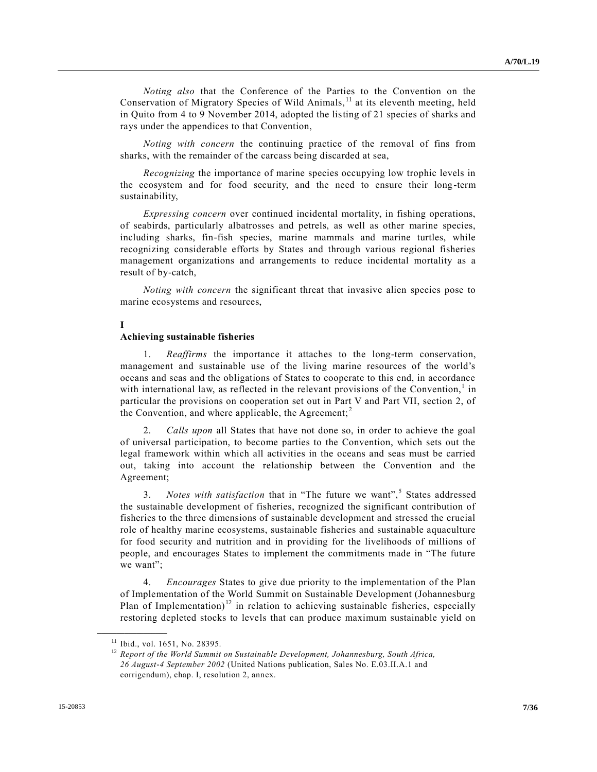*Noting also* that the Conference of the Parties to the Convention on the Conservation of Migratory Species of Wild Animals,<sup>11</sup> at its eleventh meeting, held in Quito from 4 to 9 November 2014, adopted the listing of 21 species of sharks and rays under the appendices to that Convention,

*Noting with concern* the continuing practice of the removal of fins from sharks, with the remainder of the carcass being discarded at sea,

*Recognizing* the importance of marine species occupying low trophic levels in the ecosystem and for food security, and the need to ensure their long-term sustainability,

*Expressing concern* over continued incidental mortality, in fishing operations, of seabirds, particularly albatrosses and petrels, as well as other marine species, including sharks, fin-fish species, marine mammals and marine turtles, while recognizing considerable efforts by States and through various regional fisheries management organizations and arrangements to reduce incidental mortality as a result of by-catch,

*Noting with concern* the significant threat that invasive alien species pose to marine ecosystems and resources,

#### **I**

#### **Achieving sustainable fisheries**

1. *Reaffirms* the importance it attaches to the long-term conservation, management and sustainable use of the living marine resources of the world's oceans and seas and the obligations of States to cooperate to this end, in accordance with international law, as reflected in the relevant provisions of the Convention,<sup>1</sup> in particular the provisions on cooperation set out in Part V and Part VII, section 2, of the Convention, and where applicable, the Agreement;<sup>2</sup>

2. *Calls upon* all States that have not done so, in order to achieve the goal of universal participation, to become parties to the Convention, which sets out the legal framework within which all activities in the oceans and seas must be carried out, taking into account the relationship between the Convention and the Agreement;

3. *Notes with satisfaction* that in "The future we want",<sup>5</sup> States addressed the sustainable development of fisheries, recognized the significant contribution of fisheries to the three dimensions of sustainable development and stressed the crucial role of healthy marine ecosystems, sustainable fisheries and sustainable aquaculture for food security and nutrition and in providing for the livelihoods of millions of people, and encourages States to implement the commitments made in "The future we want";

4. *Encourages* States to give due priority to the implementation of the Plan of Implementation of the World Summit on Sustainable Development (Johannesburg Plan of Implementation)<sup>12</sup> in relation to achieving sustainable fisheries, especially restoring depleted stocks to levels that can produce maximum sustainable yield on

<sup>&</sup>lt;sup>11</sup> Ibid., vol. 1651, No. 28395.

<sup>&</sup>lt;sup>12</sup> Report of the World Summit on Sustainable Development, Johannesburg, South Africa, *26 August-4 September 2002* (United Nations publication, Sales No. E.03.II.A.1 and corrigendum), chap. I, resolution 2, annex.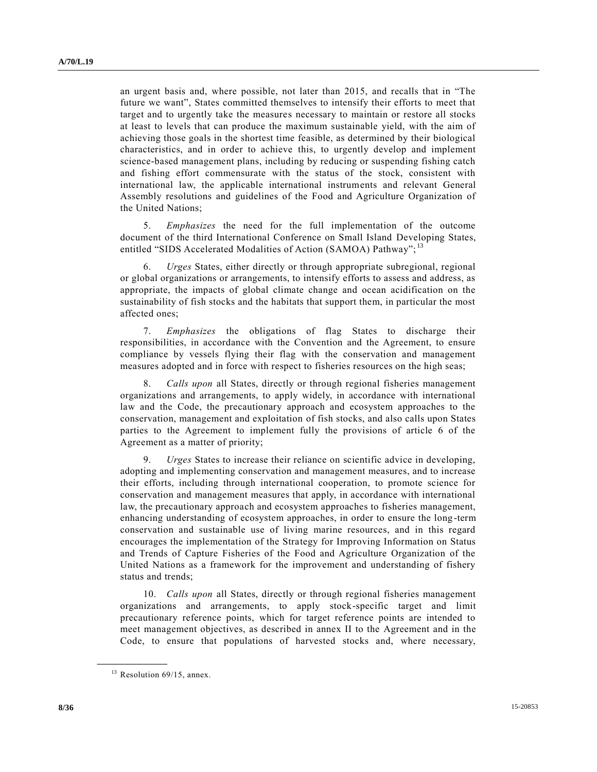an urgent basis and, where possible, not later than 2015, and recalls that in "The future we want", States committed themselves to intensify their efforts to meet that target and to urgently take the measures necessary to maintain or restore all stocks at least to levels that can produce the maximum sustainable yield, with the aim of achieving those goals in the shortest time feasible, as determined by their biological characteristics, and in order to achieve this, to urgently develop and implement science-based management plans, including by reducing or suspending fishing catch and fishing effort commensurate with the status of the stock, consistent with international law, the applicable international instruments and relevant General Assembly resolutions and guidelines of the Food and Agriculture Organization of the United Nations;

5. *Emphasizes* the need for the full implementation of the outcome document of the third International Conference on Small Island Developing States, entitled "SIDS Accelerated Modalities of Action (SAMOA) Pathway";<sup>13</sup>

6. *Urges* States, either directly or through appropriate subregional, regional or global organizations or arrangements, to intensify efforts to assess and address, as appropriate, the impacts of global climate change and ocean acidification on the sustainability of fish stocks and the habitats that support them, in particular the most affected ones;

7. *Emphasizes* the obligations of flag States to discharge their responsibilities, in accordance with the Convention and the Agreement, to ensure compliance by vessels flying their flag with the conservation and management measures adopted and in force with respect to fisheries resources on the high seas;

8. *Calls upon* all States, directly or through regional fisheries management organizations and arrangements, to apply widely, in accordance with international law and the Code, the precautionary approach and ecosystem approaches to the conservation, management and exploitation of fish stocks, and also calls upon States parties to the Agreement to implement fully the provisions of article 6 of the Agreement as a matter of priority;

9. *Urges* States to increase their reliance on scientific advice in developing, adopting and implementing conservation and management measures, and to increase their efforts, including through international cooperation, to promote science for conservation and management measures that apply, in accordance with international law, the precautionary approach and ecosystem approaches to fisheries management, enhancing understanding of ecosystem approaches, in order to ensure the long -term conservation and sustainable use of living marine resources, and in this regard encourages the implementation of the Strategy for Improving Information on Status and Trends of Capture Fisheries of the Food and Agriculture Organization of the United Nations as a framework for the improvement and understanding of fishery status and trends;

10. *Calls upon* all States, directly or through regional fisheries management organizations and arrangements, to apply stock-specific target and limit precautionary reference points, which for target reference points are intended to meet management objectives, as described in annex II to the Agreement and in the Code, to ensure that populations of harvested stocks and, where necessary,

 $13$  Resolution 69/15, annex.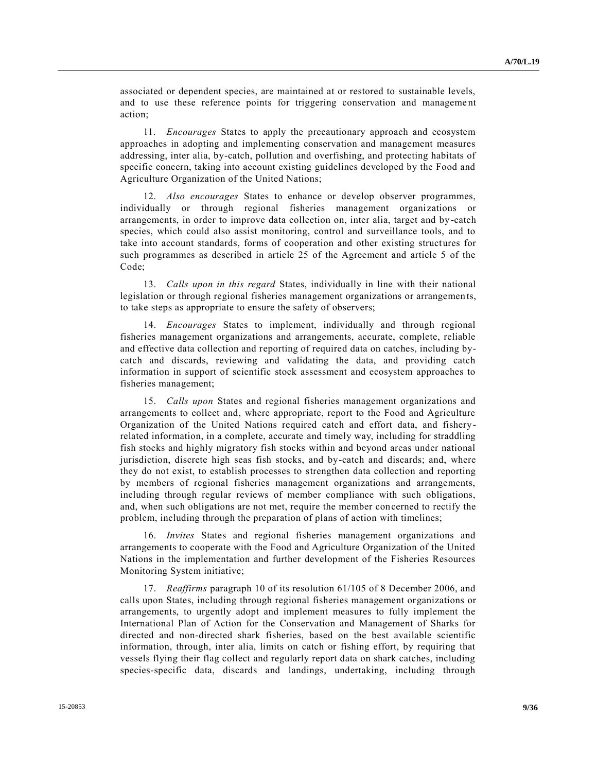associated or dependent species, are maintained at or restored to sustainable levels, and to use these reference points for triggering conservation and manageme nt action;

11. *Encourages* States to apply the precautionary approach and ecosystem approaches in adopting and implementing conservation and management measures addressing, inter alia, by-catch, pollution and overfishing, and protecting habitats of specific concern, taking into account existing guidelines developed by the Food and Agriculture Organization of the United Nations;

12. *Also encourages* States to enhance or develop observer programmes, individually or through regional fisheries management organizations or arrangements, in order to improve data collection on, inter alia, target and by -catch species, which could also assist monitoring, control and surveillance tools, and to take into account standards, forms of cooperation and other existing structures for such programmes as described in article 25 of the Agreement and article 5 of the Code;

13. *Calls upon in this regard* States, individually in line with their national legislation or through regional fisheries management organizations or arrangemen ts, to take steps as appropriate to ensure the safety of observers;

14. *Encourages* States to implement, individually and through regional fisheries management organizations and arrangements, accurate, complete, reliable and effective data collection and reporting of required data on catches, including bycatch and discards, reviewing and validating the data, and providing catch information in support of scientific stock assessment and ecosystem approaches to fisheries management;

15. *Calls upon* States and regional fisheries management organizations and arrangements to collect and, where appropriate, report to the Food and Agriculture Organization of the United Nations required catch and effort data, and fisheryrelated information, in a complete, accurate and timely way, including for straddling fish stocks and highly migratory fish stocks within and beyond areas under national jurisdiction, discrete high seas fish stocks, and by-catch and discards; and, where they do not exist, to establish processes to strengthen data collection and reporting by members of regional fisheries management organizations and arrangements, including through regular reviews of member compliance with such obligations, and, when such obligations are not met, require the member concerned to rectify the problem, including through the preparation of plans of action with timelines;

16. *Invites* States and regional fisheries management organizations and arrangements to cooperate with the Food and Agriculture Organization of the United Nations in the implementation and further development of the Fisheries Resources Monitoring System initiative;

17. *Reaffirms* paragraph 10 of its resolution 61/105 of 8 December 2006, and calls upon States, including through regional fisheries management organizations or arrangements, to urgently adopt and implement measures to fully implement the International Plan of Action for the Conservation and Management of Sharks for directed and non-directed shark fisheries, based on the best available scientific information, through, inter alia, limits on catch or fishing effort, by requiring that vessels flying their flag collect and regularly report data on shark catches, including species-specific data, discards and landings, undertaking, including through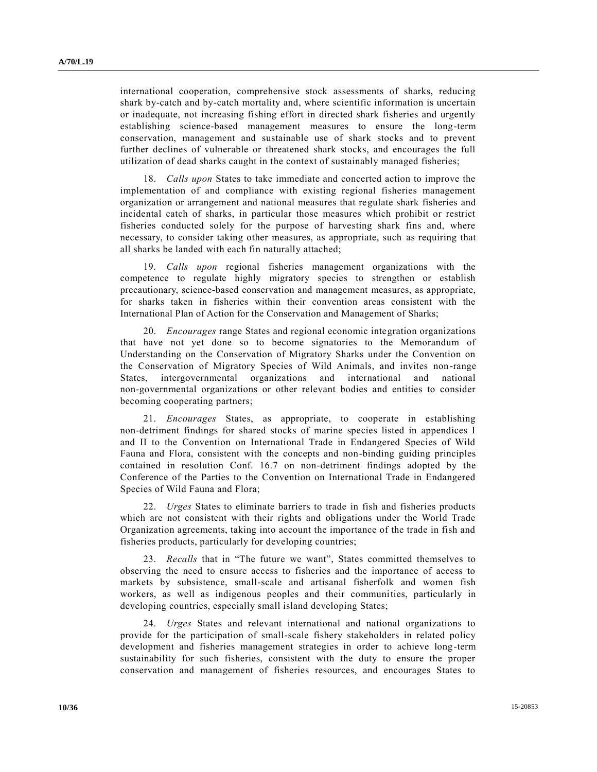international cooperation, comprehensive stock assessments of sharks, reducing shark by-catch and by-catch mortality and, where scientific information is uncertain or inadequate, not increasing fishing effort in directed shark fisheries and urgently establishing science-based management measures to ensure the long-term conservation, management and sustainable use of shark stocks and to prevent further declines of vulnerable or threatened shark stocks, and encourages the full utilization of dead sharks caught in the context of sustainably managed fisheries;

18. *Calls upon* States to take immediate and concerted action to improve the implementation of and compliance with existing regional fisheries management organization or arrangement and national measures that regulate shark fisheries and incidental catch of sharks, in particular those measures which prohibit or restrict fisheries conducted solely for the purpose of harvesting shark fins and, where necessary, to consider taking other measures, as appropriate, such as requiring that all sharks be landed with each fin naturally attached;

19. *Calls upon* regional fisheries management organizations with the competence to regulate highly migratory species to strengthen or establish precautionary, science-based conservation and management measures, as appropriate, for sharks taken in fisheries within their convention areas consistent with the International Plan of Action for the Conservation and Management of Sharks;

20. *Encourages* range States and regional economic integration organizations that have not yet done so to become signatories to the Memorandum of Understanding on the Conservation of Migratory Sharks under the Convention on the Conservation of Migratory Species of Wild Animals, and invites non-range States, intergovernmental organizations and international and national non-governmental organizations or other relevant bodies and entities to consider becoming cooperating partners;

21. *Encourages* States, as appropriate, to cooperate in establishing non-detriment findings for shared stocks of marine species listed in appendices I and II to the Convention on International Trade in Endangered Species of Wild Fauna and Flora, consistent with the concepts and non-binding guiding principles contained in resolution Conf. 16.7 on non-detriment findings adopted by the Conference of the Parties to the Convention on International Trade in Endangered Species of Wild Fauna and Flora;

22. *Urges* States to eliminate barriers to trade in fish and fisheries products which are not consistent with their rights and obligations under the World Trade Organization agreements, taking into account the importance of the trade in fish and fisheries products, particularly for developing countries;

23. *Recalls* that in "The future we want", States committed themselves to observing the need to ensure access to fisheries and the importance of access to markets by subsistence, small-scale and artisanal fisherfolk and women fish workers, as well as indigenous peoples and their communities, particularly in developing countries, especially small island developing States;

24. *Urges* States and relevant international and national organizations to provide for the participation of small-scale fishery stakeholders in related policy development and fisheries management strategies in order to achieve long-term sustainability for such fisheries, consistent with the duty to ensure the proper conservation and management of fisheries resources, and encourages States to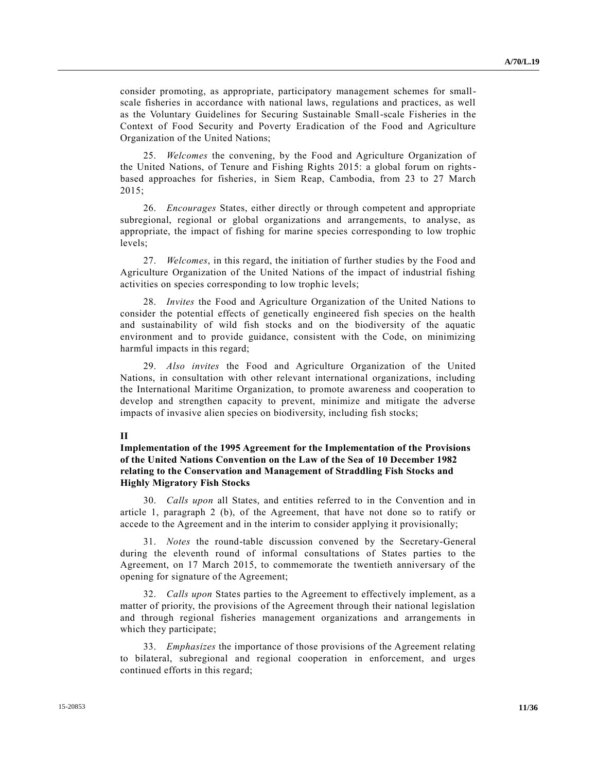consider promoting, as appropriate, participatory management schemes for smallscale fisheries in accordance with national laws, regulations and practices, as well as the Voluntary Guidelines for Securing Sustainable Small-scale Fisheries in the Context of Food Security and Poverty Eradication of the Food and Agriculture Organization of the United Nations;

25. *Welcomes* the convening, by the Food and Agriculture Organization of the United Nations, of Tenure and Fishing Rights 2015: a global forum on rightsbased approaches for fisheries, in Siem Reap, Cambodia, from 23 to 27 March 2015;

26. *Encourages* States, either directly or through competent and appropriate subregional, regional or global organizations and arrangements, to analyse, as appropriate, the impact of fishing for marine species corresponding to low trophic levels;

27. *Welcomes*, in this regard, the initiation of further studies by the Food and Agriculture Organization of the United Nations of the impact of industrial fishing activities on species corresponding to low trophic levels;

28. *Invites* the Food and Agriculture Organization of the United Nations to consider the potential effects of genetically engineered fish species on the health and sustainability of wild fish stocks and on the biodiversity of the aquatic environment and to provide guidance, consistent with the Code, on minimizing harmful impacts in this regard;

29. *Also invites* the Food and Agriculture Organization of the United Nations, in consultation with other relevant international organizations, including the International Maritime Organization, to promote awareness and cooperation to develop and strengthen capacity to prevent, minimize and mitigate the adverse impacts of invasive alien species on biodiversity, including fish stocks;

### **II**

# **Implementation of the 1995 Agreement for the Implementation of the Provisions of the United Nations Convention on the Law of the Sea of 10 December 1982 relating to the Conservation and Management of Straddling Fish Stocks and Highly Migratory Fish Stocks**

30. *Calls upon* all States, and entities referred to in the Convention and in article 1, paragraph 2 (b), of the Agreement, that have not done so to ratify or accede to the Agreement and in the interim to consider applying it provisionally;

31. *Notes* the round-table discussion convened by the Secretary-General during the eleventh round of informal consultations of States parties to the Agreement, on 17 March 2015, to commemorate the twentieth anniversary of the opening for signature of the Agreement;

32. *Calls upon* States parties to the Agreement to effectively implement, as a matter of priority, the provisions of the Agreement through their national legislation and through regional fisheries management organizations and arrangements in which they participate;

33. *Emphasizes* the importance of those provisions of the Agreement relating to bilateral, subregional and regional cooperation in enforcement, and urges continued efforts in this regard;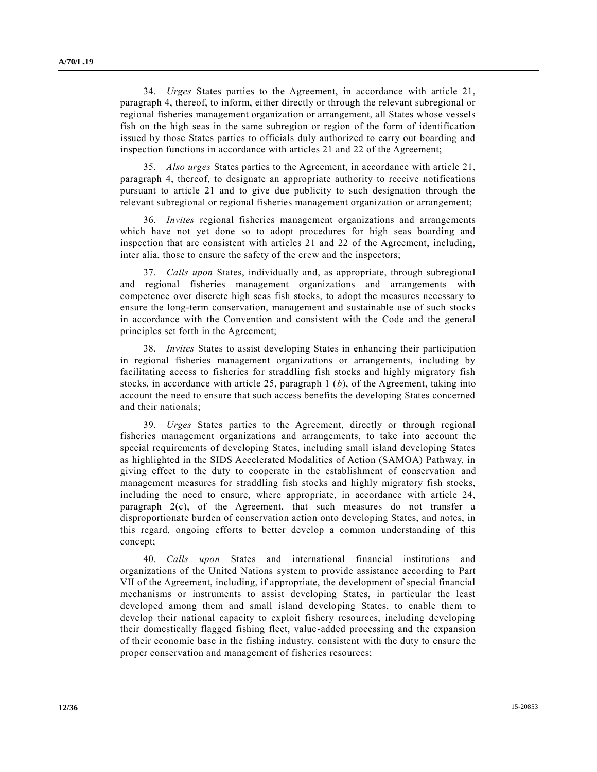34. *Urges* States parties to the Agreement, in accordance with article 21, paragraph 4, thereof, to inform, either directly or through the relevant subregional or regional fisheries management organization or arrangement, all States whose vessels fish on the high seas in the same subregion or region of the form of identification issued by those States parties to officials duly authorized to carry out boarding and inspection functions in accordance with articles 21 and 22 of the Agreement;

35. *Also urges* States parties to the Agreement, in accordance with article 21, paragraph 4, thereof, to designate an appropriate authority to receive notifications pursuant to article 21 and to give due publicity to such designation through the relevant subregional or regional fisheries management organization or arrangement;

36. *Invites* regional fisheries management organizations and arrangements which have not yet done so to adopt procedures for high seas boarding and inspection that are consistent with articles 21 and 22 of the Agreement, including, inter alia, those to ensure the safety of the crew and the inspectors;

37. *Calls upon* States, individually and, as appropriate, through subregional and regional fisheries management organizations and arrangements with competence over discrete high seas fish stocks, to adopt the measures necessary to ensure the long-term conservation, management and sustainable use of such stocks in accordance with the Convention and consistent with the Code and the general principles set forth in the Agreement;

38. *Invites* States to assist developing States in enhancing their participation in regional fisheries management organizations or arrangements, including by facilitating access to fisheries for straddling fish stocks and highly migratory fish stocks, in accordance with article 25, paragraph 1 (*b*), of the Agreement, taking into account the need to ensure that such access benefits the developing States concerned and their nationals;

39. *Urges* States parties to the Agreement, directly or through regional fisheries management organizations and arrangements, to take into account the special requirements of developing States, including small island developing States as highlighted in the SIDS Accelerated Modalities of Action (SAMOA) Pathway, in giving effect to the duty to cooperate in the establishment of conservation and management measures for straddling fish stocks and highly migratory fish stocks, including the need to ensure, where appropriate, in accordance with article 24, paragraph  $2(c)$ , of the Agreement, that such measures do not transfer a disproportionate burden of conservation action onto developing States, and notes, in this regard, ongoing efforts to better develop a common understanding of this concept;

40. *Calls upon* States and international financial institutions and organizations of the United Nations system to provide assistance according to Part VII of the Agreement, including, if appropriate, the development of special financial mechanisms or instruments to assist developing States, in particular the least developed among them and small island developing States, to enable them to develop their national capacity to exploit fishery resources, including developing their domestically flagged fishing fleet, value-added processing and the expansion of their economic base in the fishing industry, consistent with the duty to ensure the proper conservation and management of fisheries resources;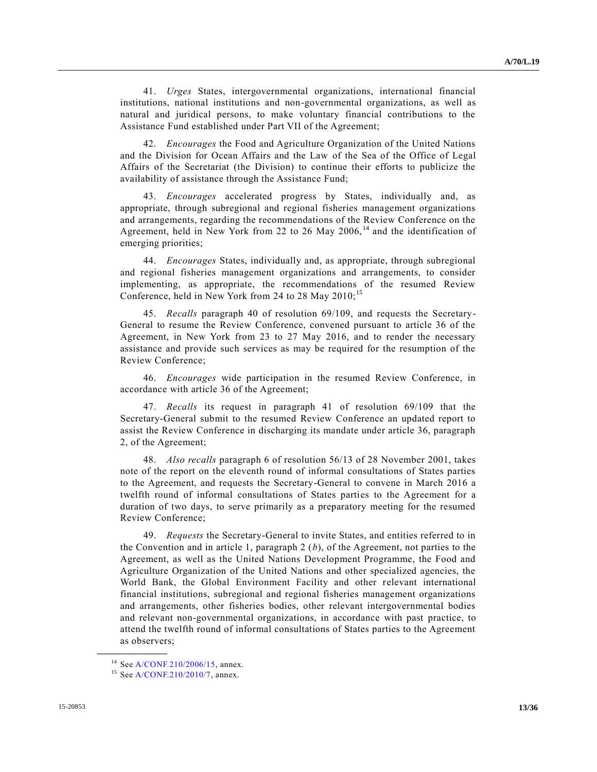41. *Urges* States, intergovernmental organizations, international financial institutions, national institutions and non-governmental organizations, as well as natural and juridical persons, to make voluntary financial contributions to the Assistance Fund established under Part VII of the Agreement;

42. *Encourages* the Food and Agriculture Organization of the United Nations and the Division for Ocean Affairs and the Law of the Sea of the Office of Legal Affairs of the Secretariat (the Division) to continue their efforts to publicize the availability of assistance through the Assistance Fund;

43. *Encourages* accelerated progress by States, individually and, as appropriate, through subregional and regional fisheries management organizations and arrangements, regarding the recommendations of the Review Conference on the Agreement, held in New York from 22 to 26 May 2006, $14$  and the identification of emerging priorities;

44. *Encourages* States, individually and, as appropriate, through subregional and regional fisheries management organizations and arrangements, to consider implementing, as appropriate, the recommendations of the resumed Review Conference, held in New York from 24 to 28 May  $2010$ ;<sup>15</sup>

45. *Recalls* paragraph 40 of resolution 69/109, and requests the Secretary-General to resume the Review Conference, convened pursuant to article 36 of the Agreement, in New York from 23 to 27 May 2016, and to render the necessary assistance and provide such services as may be required for the resumption of the Review Conference;

46. *Encourages* wide participation in the resumed Review Conference, in accordance with article 36 of the Agreement;

47. *Recalls* its request in paragraph 41 of resolution 69/109 that the Secretary-General submit to the resumed Review Conference an updated report to assist the Review Conference in discharging its mandate under article 36, paragraph 2, of the Agreement;

48. *Also recalls* paragraph 6 of resolution 56/13 of 28 November 2001, takes note of the report on the eleventh round of informal consultations of States parties to the Agreement, and requests the Secretary-General to convene in March 2016 a twelfth round of informal consultations of States parties to the Agreement for a duration of two days, to serve primarily as a preparatory meeting for the resumed Review Conference;

49. *Requests* the Secretary-General to invite States, and entities referred to in the Convention and in article 1, paragraph 2 (*b*), of the Agreement, not parties to the Agreement, as well as the United Nations Development Programme, the Food and Agriculture Organization of the United Nations and other specialized agencies, the World Bank, the Global Environment Facility and other relevant international financial institutions, subregional and regional fisheries management organizations and arrangements, other fisheries bodies, other relevant intergovernmental bodies and relevant non-governmental organizations, in accordance with past practice, to attend the twelfth round of informal consultations of States parties to the Agreement as observers;

<sup>14</sup> Se[e A/CONF.210/2006/15,](http://undocs.org/A/CONF.210/2006/15) annex.

 $15$  Se[e A/CONF.210/2010/7,](http://undocs.org/A/CONF.210/2010/7) annex.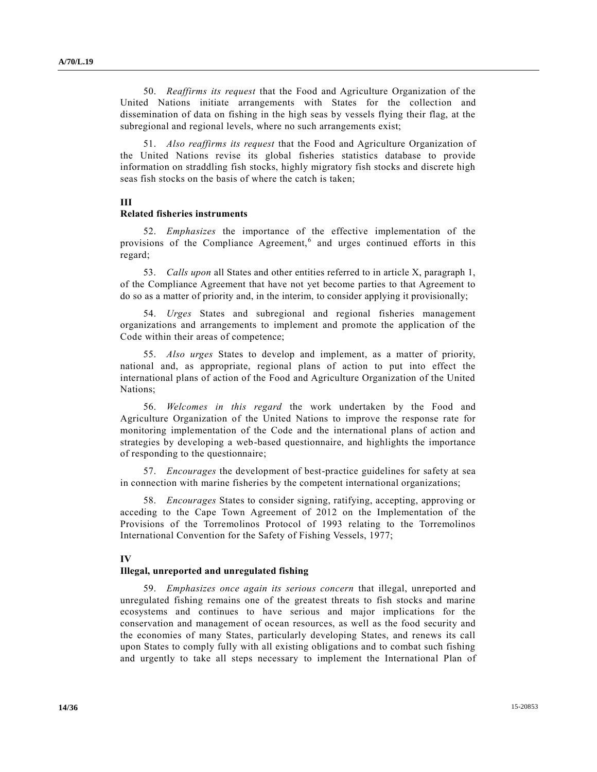50. *Reaffirms its request* that the Food and Agriculture Organization of the United Nations initiate arrangements with States for the collection and dissemination of data on fishing in the high seas by vessels flying their flag, at the subregional and regional levels, where no such arrangements exist;

51. *Also reaffirms its request* that the Food and Agriculture Organization of the United Nations revise its global fisheries statistics database to provide information on straddling fish stocks, highly migratory fish stocks and discrete high seas fish stocks on the basis of where the catch is taken;

# **III**

# **Related fisheries instruments**

52. *Emphasizes* the importance of the effective implementation of the provisions of the Compliance Agreement,<sup>6</sup> and urges continued efforts in this regard;

53. *Calls upon* all States and other entities referred to in article X, paragraph 1, of the Compliance Agreement that have not yet become parties to that Agreement to do so as a matter of priority and, in the interim, to consider applying it provisionally;

54. *Urges* States and subregional and regional fisheries management organizations and arrangements to implement and promote the application of the Code within their areas of competence;

55. *Also urges* States to develop and implement, as a matter of priority, national and, as appropriate, regional plans of action to put into effect the international plans of action of the Food and Agriculture Organization of the United Nations;

56. *Welcomes in this regard* the work undertaken by the Food and Agriculture Organization of the United Nations to improve the response rate for monitoring implementation of the Code and the international plans of action and strategies by developing a web-based questionnaire, and highlights the importance of responding to the questionnaire;

57. *Encourages* the development of best-practice guidelines for safety at sea in connection with marine fisheries by the competent international organizations;

58. *Encourages* States to consider signing, ratifying, accepting, approving or acceding to the Cape Town Agreement of 2012 on the Implementation of the Provisions of the Torremolinos Protocol of 1993 relating to the Torremolinos International Convention for the Safety of Fishing Vessels, 1977;

#### **IV**

#### **Illegal, unreported and unregulated fishing**

59. *Emphasizes once again its serious concern* that illegal, unreported and unregulated fishing remains one of the greatest threats to fish stocks and marine ecosystems and continues to have serious and major implications for the conservation and management of ocean resources, as well as the food security and the economies of many States, particularly developing States, and renews its call upon States to comply fully with all existing obligations and to combat such fishing and urgently to take all steps necessary to implement the International Plan of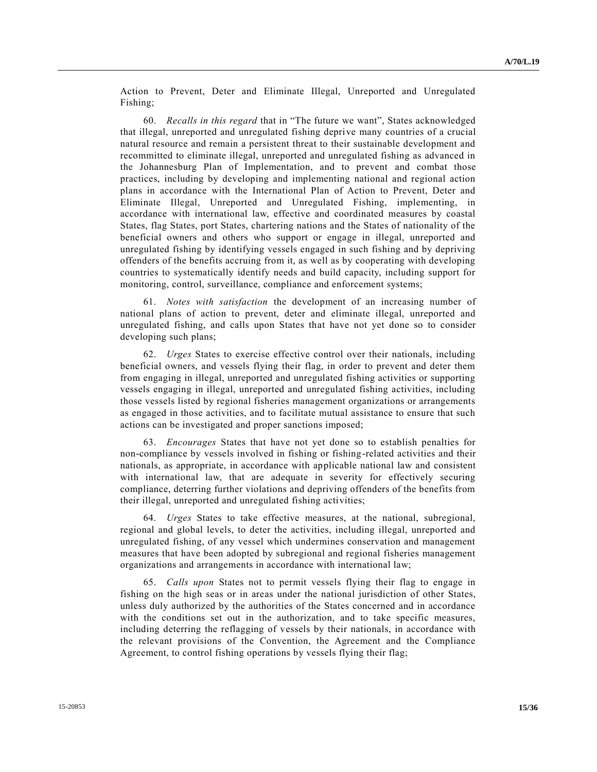Action to Prevent, Deter and Eliminate Illegal, Unreported and Unregulated Fishing;

60. *Recalls in this regard* that in "The future we want", States acknowledged that illegal, unreported and unregulated fishing deprive many countries of a crucial natural resource and remain a persistent threat to their sustainable development and recommitted to eliminate illegal, unreported and unregulated fishing as advanced in the Johannesburg Plan of Implementation, and to prevent and combat those practices, including by developing and implementing national and regional action plans in accordance with the International Plan of Action to Prevent, Deter and Eliminate Illegal, Unreported and Unregulated Fishing, implementing, in accordance with international law, effective and coordinated measures by coastal States, flag States, port States, chartering nations and the States of nationality of the beneficial owners and others who support or engage in illegal, unreported and unregulated fishing by identifying vessels engaged in such fishing and by depriving offenders of the benefits accruing from it, as well as by cooperating with developing countries to systematically identify needs and build capacity, including support for monitoring, control, surveillance, compliance and enforcement systems;

61. *Notes with satisfaction* the development of an increasing number of national plans of action to prevent, deter and eliminate illegal, unreported and unregulated fishing, and calls upon States that have not yet done so to consider developing such plans;

62. *Urges* States to exercise effective control over their nationals, including beneficial owners, and vessels flying their flag, in order to prevent and deter them from engaging in illegal, unreported and unregulated fishing activities or supporting vessels engaging in illegal, unreported and unregulated fishing activities, including those vessels listed by regional fisheries management organizations or arrangements as engaged in those activities, and to facilitate mutual assistance to ensure that such actions can be investigated and proper sanctions imposed;

63. *Encourages* States that have not yet done so to establish penalties for non-compliance by vessels involved in fishing or fishing-related activities and their nationals, as appropriate, in accordance with applicable national law and consistent with international law, that are adequate in severity for effectively securing compliance, deterring further violations and depriving offenders of the benefits from their illegal, unreported and unregulated fishing activities;

64. *Urges* States to take effective measures, at the national, subregional, regional and global levels, to deter the activities, including illegal, unreported and unregulated fishing, of any vessel which undermines conservation and management measures that have been adopted by subregional and regional fisheries management organizations and arrangements in accordance with international law;

65. *Calls upon* States not to permit vessels flying their flag to engage in fishing on the high seas or in areas under the national jurisdiction of other States, unless duly authorized by the authorities of the States concerned and in accordance with the conditions set out in the authorization, and to take specific measures, including deterring the reflagging of vessels by their nationals, in accordance with the relevant provisions of the Convention, the Agreement and the Compliance Agreement, to control fishing operations by vessels flying their flag;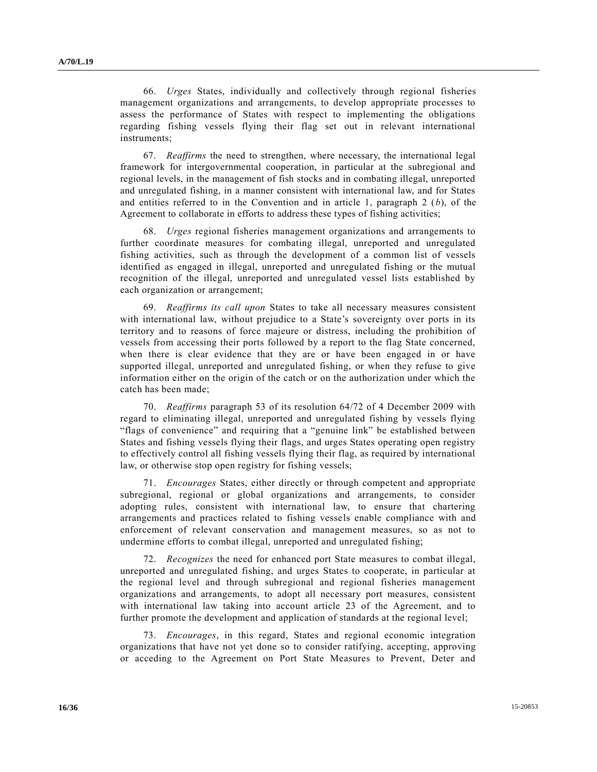66. *Urges* States, individually and collectively through regional fisheries management organizations and arrangements, to develop appropriate processes to assess the performance of States with respect to implementing the obligations regarding fishing vessels flying their flag set out in relevant international instruments;

67. *Reaffirms* the need to strengthen, where necessary, the international legal framework for intergovernmental cooperation, in particular at the subregional and regional levels, in the management of fish stocks and in combating illegal, unreported and unregulated fishing, in a manner consistent with international law, and for States and entities referred to in the Convention and in article 1, paragraph 2 (*b*), of the Agreement to collaborate in efforts to address these types of fishing activities;

68. *Urges* regional fisheries management organizations and arrangements to further coordinate measures for combating illegal, unreported and unregulated fishing activities, such as through the development of a common list of vessels identified as engaged in illegal, unreported and unregulated fishing or the mutual recognition of the illegal, unreported and unregulated vessel lists established by each organization or arrangement;

69. *Reaffirms its call upon* States to take all necessary measures consistent with international law, without prejudice to a State's sovereignty over ports in its territory and to reasons of force majeure or distress, including the prohibition of vessels from accessing their ports followed by a report to the flag State concerned, when there is clear evidence that they are or have been engaged in or have supported illegal, unreported and unregulated fishing, or when they refuse to give information either on the origin of the catch or on the authorization under which the catch has been made;

70. *Reaffirms* paragraph 53 of its resolution 64/72 of 4 December 2009 with regard to eliminating illegal, unreported and unregulated fishing by vessels flying "flags of convenience" and requiring that a "genuine link" be established between States and fishing vessels flying their flags, and urges States operating open registry to effectively control all fishing vessels flying their flag, as required by international law, or otherwise stop open registry for fishing vessels;

71. *Encourages* States, either directly or through competent and appropriate subregional, regional or global organizations and arrangements, to consider adopting rules, consistent with international law, to ensure that chartering arrangements and practices related to fishing vessels enable compliance with and enforcement of relevant conservation and management measures, so as not to undermine efforts to combat illegal, unreported and unregulated fishing;

72. *Recognizes* the need for enhanced port State measures to combat illegal, unreported and unregulated fishing, and urges States to cooperate, in particular at the regional level and through subregional and regional fisheries management organizations and arrangements, to adopt all necessary port measures, consistent with international law taking into account article 23 of the Agreement, and to further promote the development and application of standards at the regional level;

73. *Encourages*, in this regard, States and regional economic integration organizations that have not yet done so to consider ratifying, accepting, approving or acceding to the Agreement on Port State Measures to Prevent, Deter and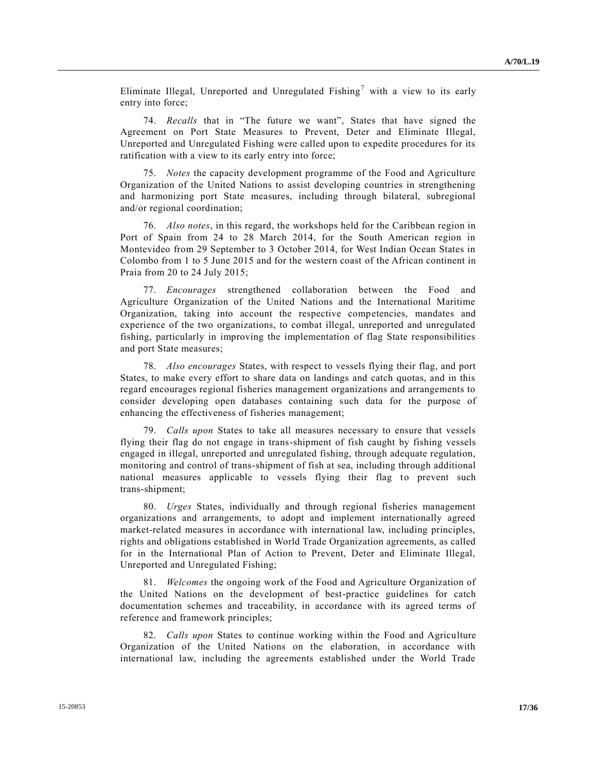Eliminate Illegal, Unreported and Unregulated Fishing<sup>7</sup> with a view to its early entry into force;

74. *Recalls* that in "The future we want", States that have signed the Agreement on Port State Measures to Prevent, Deter and Eliminate Illegal, Unreported and Unregulated Fishing were called upon to expedite procedures for its ratification with a view to its early entry into force;

75. *Notes* the capacity development programme of the Food and Agriculture Organization of the United Nations to assist developing countries in strengthening and harmonizing port State measures, including through bilateral, subregional and/or regional coordination;

76. *Also notes*, in this regard, the workshops held for the Caribbean region in Port of Spain from 24 to 28 March 2014, for the South American region in Montevideo from 29 September to 3 October 2014, for West Indian Ocean States in Colombo from 1 to 5 June 2015 and for the western coast of the African continent in Praia from 20 to 24 July 2015;

77. *Encourages* strengthened collaboration between the Food and Agriculture Organization of the United Nations and the International Maritime Organization, taking into account the respective competencies, mandates and experience of the two organizations, to combat illegal, unreported and unregulated fishing, particularly in improving the implementation of flag State responsibilities and port State measures;

78. *Also encourages* States, with respect to vessels flying their flag, and port States, to make every effort to share data on landings and catch quotas, and in this regard encourages regional fisheries management organizations and arrangements to consider developing open databases containing such data for the purpose of enhancing the effectiveness of fisheries management;

79. *Calls upon* States to take all measures necessary to ensure that vessels flying their flag do not engage in trans-shipment of fish caught by fishing vessels engaged in illegal, unreported and unregulated fishing, through adequate regulation, monitoring and control of trans-shipment of fish at sea, including through additional national measures applicable to vessels flying their flag to prevent such trans-shipment;

80. *Urges* States, individually and through regional fisheries management organizations and arrangements, to adopt and implement internationally agreed market-related measures in accordance with international law, including principles, rights and obligations established in World Trade Organization agreements, as called for in the International Plan of Action to Prevent, Deter and Eliminate Illegal, Unreported and Unregulated Fishing;

81. *Welcomes* the ongoing work of the Food and Agriculture Organization of the United Nations on the development of best-practice guidelines for catch documentation schemes and traceability, in accordance with its agreed terms of reference and framework principles;

82. *Calls upon* States to continue working within the Food and Agriculture Organization of the United Nations on the elaboration, in accordance with international law, including the agreements established under the World Trade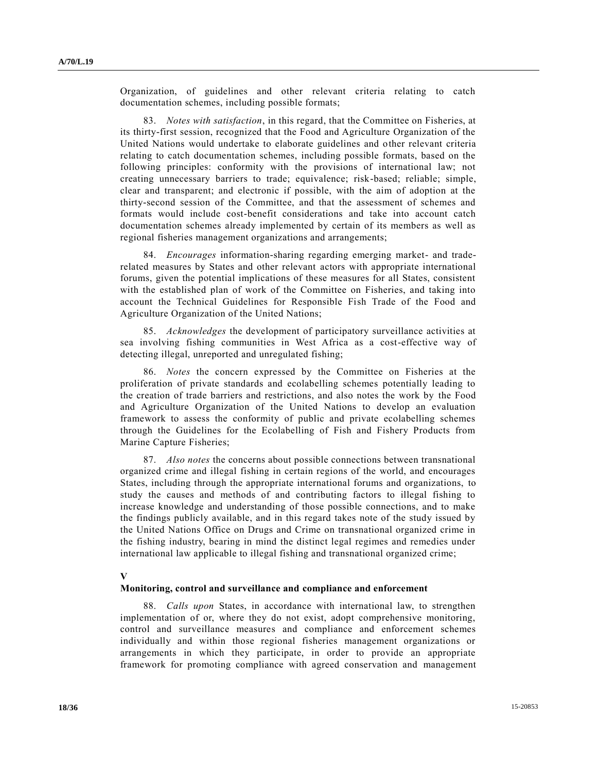Organization, of guidelines and other relevant criteria relating to catch documentation schemes, including possible formats;

83. *Notes with satisfaction*, in this regard, that the Committee on Fisheries, at its thirty-first session, recognized that the Food and Agriculture Organization of the United Nations would undertake to elaborate guidelines and other relevant criteria relating to catch documentation schemes, including possible formats, based on the following principles: conformity with the provisions of international law; not creating unnecessary barriers to trade; equivalence; risk-based; reliable; simple, clear and transparent; and electronic if possible, with the aim of adoption at the thirty-second session of the Committee, and that the assessment of schemes and formats would include cost-benefit considerations and take into account catch documentation schemes already implemented by certain of its members as well as regional fisheries management organizations and arrangements;

84. *Encourages* information-sharing regarding emerging market- and traderelated measures by States and other relevant actors with appropriate international forums, given the potential implications of these measures for all States, consistent with the established plan of work of the Committee on Fisheries, and taking into account the Technical Guidelines for Responsible Fish Trade of the Food and Agriculture Organization of the United Nations;

85. *Acknowledges* the development of participatory surveillance activities at sea involving fishing communities in West Africa as a cost-effective way of detecting illegal, unreported and unregulated fishing;

86. *Notes* the concern expressed by the Committee on Fisheries at the proliferation of private standards and ecolabelling schemes potentially leading to the creation of trade barriers and restrictions, and also notes the work by the Food and Agriculture Organization of the United Nations to develop an evaluation framework to assess the conformity of public and private ecolabelling schemes through the Guidelines for the Ecolabelling of Fish and Fishery Products from Marine Capture Fisheries;

87. *Also notes* the concerns about possible connections between transnational organized crime and illegal fishing in certain regions of the world, and encourages States, including through the appropriate international forums and organizations, to study the causes and methods of and contributing factors to illegal fishing to increase knowledge and understanding of those possible connections, and to make the findings publicly available, and in this regard takes note of the study issued by the United Nations Office on Drugs and Crime on transnational organized crime in the fishing industry, bearing in mind the distinct legal regimes and remedies under international law applicable to illegal fishing and transnational organized crime;

#### **V**

#### **Monitoring, control and surveillance and compliance and enforcement**

88. *Calls upon* States, in accordance with international law, to strengthen implementation of or, where they do not exist, adopt comprehensive monitoring, control and surveillance measures and compliance and enforcement schemes individually and within those regional fisheries management organizations or arrangements in which they participate, in order to provide an appropriate framework for promoting compliance with agreed conservation and management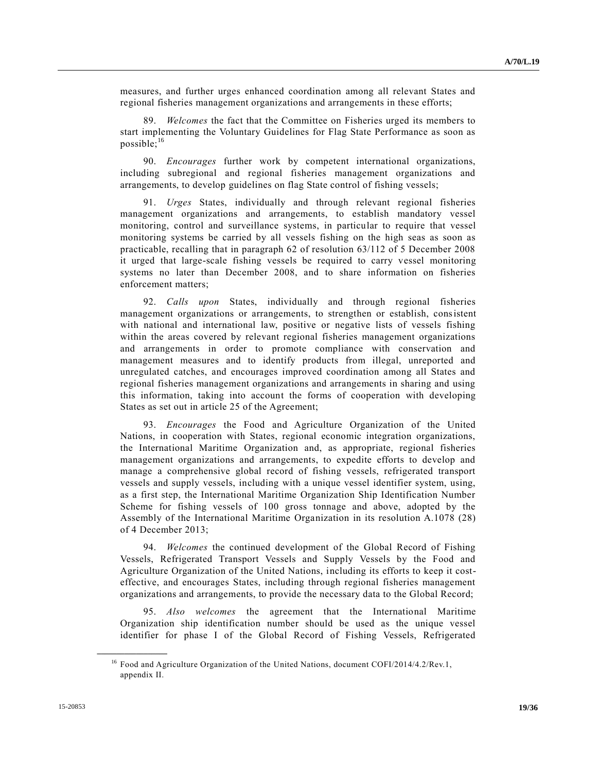measures, and further urges enhanced coordination among all relevant States and regional fisheries management organizations and arrangements in these efforts;

89. *Welcomes* the fact that the Committee on Fisheries urged its members to start implementing the Voluntary Guidelines for Flag State Performance as soon as possible; $^{16}$ 

90. *Encourages* further work by competent international organizations, including subregional and regional fisheries management organizations and arrangements, to develop guidelines on flag State control of fishing vessels;

91. *Urges* States, individually and through relevant regional fisheries management organizations and arrangements, to establish mandatory vessel monitoring, control and surveillance systems, in particular to require that vessel monitoring systems be carried by all vessels fishing on the high seas as soon as practicable, recalling that in paragraph 62 of resolution 63/112 of 5 December 2008 it urged that large-scale fishing vessels be required to carry vessel monitoring systems no later than December 2008, and to share information on fisheries enforcement matters;

92. *Calls upon* States, individually and through regional fisheries management organizations or arrangements, to strengthen or establish, consistent with national and international law, positive or negative lists of vessels fishing within the areas covered by relevant regional fisheries management organizations and arrangements in order to promote compliance with conservation and management measures and to identify products from illegal, unreported and unregulated catches, and encourages improved coordination among all States and regional fisheries management organizations and arrangements in sharing and using this information, taking into account the forms of cooperation with developing States as set out in article 25 of the Agreement;

93. *Encourages* the Food and Agriculture Organization of the United Nations, in cooperation with States, regional economic integration organizations, the International Maritime Organization and, as appropriate, regional fisheries management organizations and arrangements, to expedite efforts to develop and manage a comprehensive global record of fishing vessels, refrigerated transport vessels and supply vessels, including with a unique vessel identifier system, using, as a first step, the International Maritime Organization Ship Identification Number Scheme for fishing vessels of 100 gross tonnage and above, adopted by the Assembly of the International Maritime Organization in its resolution A.1078 (28) of 4 December 2013;

94. *Welcomes* the continued development of the Global Record of Fishing Vessels, Refrigerated Transport Vessels and Supply Vessels by the Food and Agriculture Organization of the United Nations, including its efforts to keep it costeffective, and encourages States, including through regional fisheries management organizations and arrangements, to provide the necessary data to the Global Record;

95. *Also welcomes* the agreement that the International Maritime Organization ship identification number should be used as the unique vessel identifier for phase I of the Global Record of Fishing Vessels, Refrigerated

<sup>&</sup>lt;sup>16</sup> Food and Agriculture Organization of the United Nations, document COFI/2014/4.2/Rev.1, appendix II.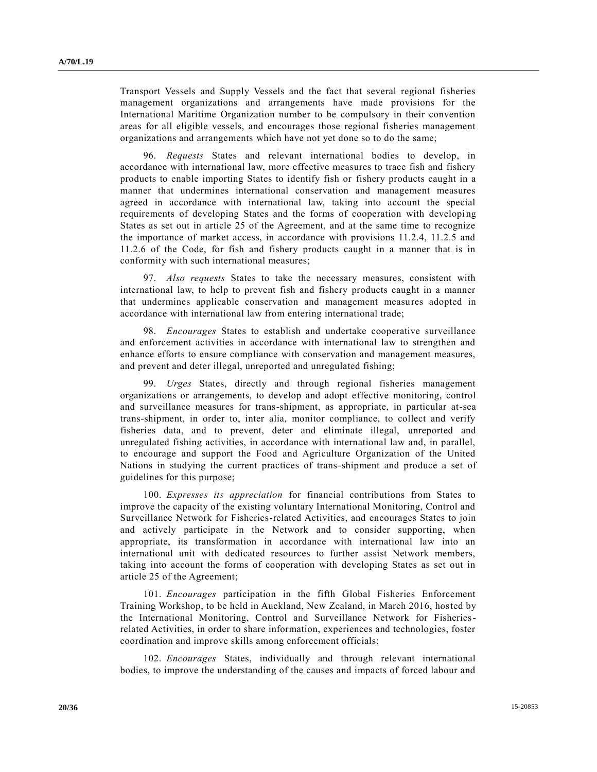Transport Vessels and Supply Vessels and the fact that several regional fisheries management organizations and arrangements have made provisions for the International Maritime Organization number to be compulsory in their convention areas for all eligible vessels, and encourages those regional fisheries management organizations and arrangements which have not yet done so to do the same;

96. *Requests* States and relevant international bodies to develop, in accordance with international law, more effective measures to trace fish and fishery products to enable importing States to identify fish or fishery products caught in a manner that undermines international conservation and management measures agreed in accordance with international law, taking into account the special requirements of developing States and the forms of cooperation with developing States as set out in article 25 of the Agreement, and at the same time to recognize the importance of market access, in accordance with provisions 11.2.4, 11.2.5 and 11.2.6 of the Code, for fish and fishery products caught in a manner that is in conformity with such international measures;

97. *Also requests* States to take the necessary measures, consistent with international law, to help to prevent fish and fishery products caught in a manner that undermines applicable conservation and management measures adopted in accordance with international law from entering international trade;

98. *Encourages* States to establish and undertake cooperative surveillance and enforcement activities in accordance with international law to strengthen and enhance efforts to ensure compliance with conservation and management measures, and prevent and deter illegal, unreported and unregulated fishing;

99. *Urges* States, directly and through regional fisheries management organizations or arrangements, to develop and adopt effective monitoring, control and surveillance measures for trans-shipment, as appropriate, in particular at-sea trans-shipment, in order to, inter alia, monitor compliance, to collect and verify fisheries data, and to prevent, deter and eliminate illegal, unreported and unregulated fishing activities, in accordance with international law and, in parallel, to encourage and support the Food and Agriculture Organization of the United Nations in studying the current practices of trans-shipment and produce a set of guidelines for this purpose;

100. *Expresses its appreciation* for financial contributions from States to improve the capacity of the existing voluntary International Monitoring, Control and Surveillance Network for Fisheries-related Activities, and encourages States to join and actively participate in the Network and to consider supporting, when appropriate, its transformation in accordance with international law into an international unit with dedicated resources to further assist Network members, taking into account the forms of cooperation with developing States as set out in article 25 of the Agreement;

101. *Encourages* participation in the fifth Global Fisheries Enforcement Training Workshop, to be held in Auckland, New Zealand, in March 2016, hosted by the International Monitoring, Control and Surveillance Network for Fisheriesrelated Activities, in order to share information, experiences and technologies, foster coordination and improve skills among enforcement officials;

102. *Encourages* States, individually and through relevant international bodies, to improve the understanding of the causes and impacts of forced labour and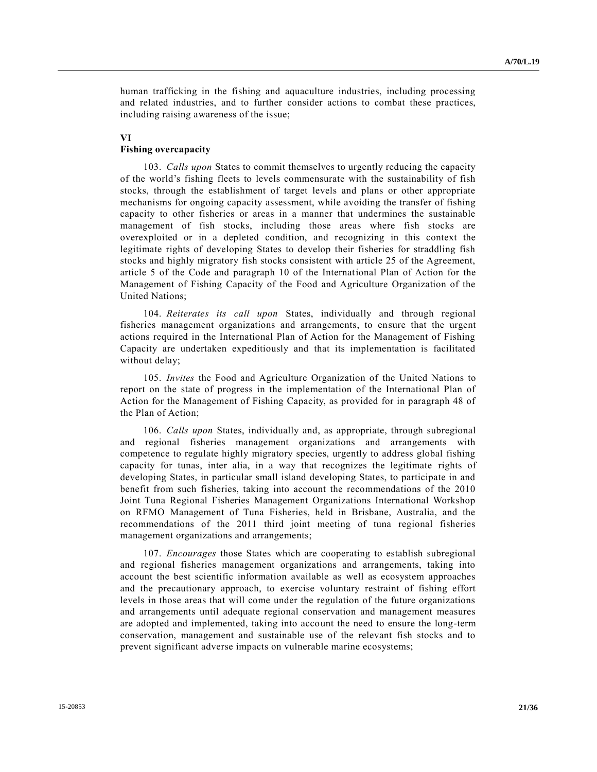human trafficking in the fishing and aquaculture industries, including processing and related industries, and to further consider actions to combat these practices, including raising awareness of the issue;

# **VI**

# **Fishing overcapacity**

103. *Calls upon* States to commit themselves to urgently reducing the capacity of the world's fishing fleets to levels commensurate with the sustainability of fish stocks, through the establishment of target levels and plans or other appropriate mechanisms for ongoing capacity assessment, while avoiding the transfer of fishing capacity to other fisheries or areas in a manner that undermines the sustainable management of fish stocks, including those areas where fish stocks are overexploited or in a depleted condition, and recognizing in this context the legitimate rights of developing States to develop their fisheries for straddling fish stocks and highly migratory fish stocks consistent with article 25 of the Agreement, article 5 of the Code and paragraph 10 of the International Plan of Action for the Management of Fishing Capacity of the Food and Agriculture Organization of the United Nations;

104. *Reiterates its call upon* States, individually and through regional fisheries management organizations and arrangements, to ensure that the urgent actions required in the International Plan of Action for the Management of Fishing Capacity are undertaken expeditiously and that its implementation is facilitated without delay;

105. *Invites* the Food and Agriculture Organization of the United Nations to report on the state of progress in the implementation of the International Plan of Action for the Management of Fishing Capacity, as provided for in paragraph 48 of the Plan of Action;

106. *Calls upon* States, individually and, as appropriate, through subregional and regional fisheries management organizations and arrangements with competence to regulate highly migratory species, urgently to address global fishing capacity for tunas, inter alia, in a way that recognizes the legitimate rights of developing States, in particular small island developing States, to participate in and benefit from such fisheries, taking into account the recommendations of the 2010 Joint Tuna Regional Fisheries Management Organizations International Workshop on RFMO Management of Tuna Fisheries, held in Brisbane, Australia, and the recommendations of the 2011 third joint meeting of tuna regional fisheries management organizations and arrangements;

107. *Encourages* those States which are cooperating to establish subregional and regional fisheries management organizations and arrangements, taking into account the best scientific information available as well as ecosystem approaches and the precautionary approach, to exercise voluntary restraint of fishing effort levels in those areas that will come under the regulation of the future organizations and arrangements until adequate regional conservation and management measures are adopted and implemented, taking into account the need to ensure the long-term conservation, management and sustainable use of the relevant fish stocks and to prevent significant adverse impacts on vulnerable marine ecosystems;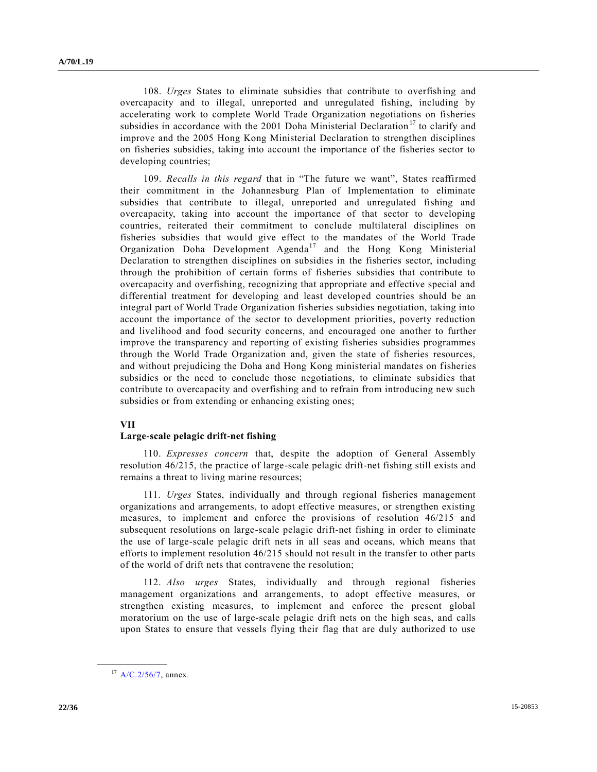108. *Urges* States to eliminate subsidies that contribute to overfishing and overcapacity and to illegal, unreported and unregulated fishing, including by accelerating work to complete World Trade Organization negotiations on fisheries subsidies in accordance with the 2001 Doha Ministerial Declaration<sup>17</sup> to clarify and improve and the 2005 Hong Kong Ministerial Declaration to strengthen disciplines on fisheries subsidies, taking into account the importance of the fisheries sector to developing countries;

109. *Recalls in this regard* that in "The future we want", States reaffirmed their commitment in the Johannesburg Plan of Implementation to eliminate subsidies that contribute to illegal, unreported and unregulated fishing and overcapacity, taking into account the importance of that sector to developing countries, reiterated their commitment to conclude multilateral disciplines on fisheries subsidies that would give effect to the mandates of the World Trade Organization Doha Development Agenda<sup>17</sup> and the Hong Kong Ministerial Declaration to strengthen disciplines on subsidies in the fisheries sector, including through the prohibition of certain forms of fisheries subsidies that contribute to overcapacity and overfishing, recognizing that appropriate and effective special and differential treatment for developing and least developed countries should be an integral part of World Trade Organization fisheries subsidies negotiation, taking into account the importance of the sector to development priorities, poverty reduction and livelihood and food security concerns, and encouraged one another to further improve the transparency and reporting of existing fisheries subsidies programmes through the World Trade Organization and, given the state of fisheries resources, and without prejudicing the Doha and Hong Kong ministerial mandates on fisheries subsidies or the need to conclude those negotiations, to eliminate subsidies that contribute to overcapacity and overfishing and to refrain from introducing new such subsidies or from extending or enhancing existing ones;

#### **VII**

#### **Large-scale pelagic drift-net fishing**

110. *Expresses concern* that, despite the adoption of General Assembly resolution 46/215, the practice of large-scale pelagic drift-net fishing still exists and remains a threat to living marine resources;

111. *Urges* States, individually and through regional fisheries management organizations and arrangements, to adopt effective measures, or strengthen existing measures, to implement and enforce the provisions of resolution 46/215 and subsequent resolutions on large-scale pelagic drift-net fishing in order to eliminate the use of large-scale pelagic drift nets in all seas and oceans, which means that efforts to implement resolution 46/215 should not result in the transfer to other parts of the world of drift nets that contravene the resolution;

112. *Also urges* States, individually and through regional fisheries management organizations and arrangements, to adopt effective measures, or strengthen existing measures, to implement and enforce the present global moratorium on the use of large-scale pelagic drift nets on the high seas, and calls upon States to ensure that vessels flying their flag that are duly authorized to use

 $17$  [A/C.2/56/7,](http://undocs.org/A/C.2/56/7) annex.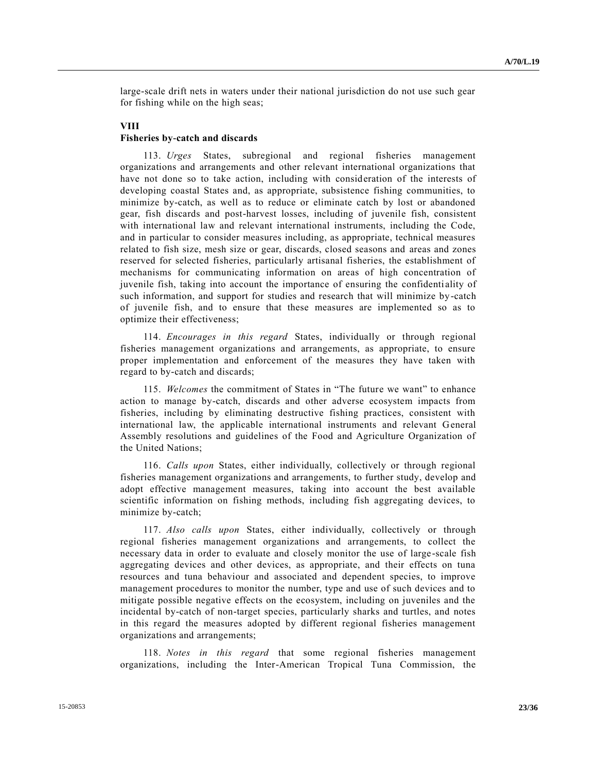large-scale drift nets in waters under their national jurisdiction do not use such gear for fishing while on the high seas;

#### **VIII**

## **Fisheries by-catch and discards**

113. *Urges* States, subregional and regional fisheries management organizations and arrangements and other relevant international organizations that have not done so to take action, including with consideration of the interests of developing coastal States and, as appropriate, subsistence fishing communities, to minimize by-catch, as well as to reduce or eliminate catch by lost or abandoned gear, fish discards and post-harvest losses, including of juvenile fish, consistent with international law and relevant international instruments, including the Code, and in particular to consider measures including, as appropriate, technical measures related to fish size, mesh size or gear, discards, closed seasons and areas and zones reserved for selected fisheries, particularly artisanal fisheries, the establishment of mechanisms for communicating information on areas of high concentration of juvenile fish, taking into account the importance of ensuring the confidenti ality of such information, and support for studies and research that will minimize by-catch of juvenile fish, and to ensure that these measures are implemented so as to optimize their effectiveness;

114. *Encourages in this regard* States, individually or through regional fisheries management organizations and arrangements, as appropriate, to ensure proper implementation and enforcement of the measures they have taken with regard to by-catch and discards;

115. *Welcomes* the commitment of States in "The future we want" to enhance action to manage by-catch, discards and other adverse ecosystem impacts from fisheries, including by eliminating destructive fishing practices, consistent with international law, the applicable international instruments and relevant General Assembly resolutions and guidelines of the Food and Agriculture Organization of the United Nations;

116. *Calls upon* States, either individually, collectively or through regional fisheries management organizations and arrangements, to further study, develop and adopt effective management measures, taking into account the best available scientific information on fishing methods, including fish aggregating devices, to minimize by-catch;

117. *Also calls upon* States, either individually, collectively or through regional fisheries management organizations and arrangements, to collect the necessary data in order to evaluate and closely monitor the use of large -scale fish aggregating devices and other devices, as appropriate, and their effects on tuna resources and tuna behaviour and associated and dependent species, to improve management procedures to monitor the number, type and use of such devices and to mitigate possible negative effects on the ecosystem, including on juveniles and the incidental by-catch of non-target species, particularly sharks and turtles, and notes in this regard the measures adopted by different regional fisheries management organizations and arrangements;

118. *Notes in this regard* that some regional fisheries management organizations, including the Inter-American Tropical Tuna Commission, the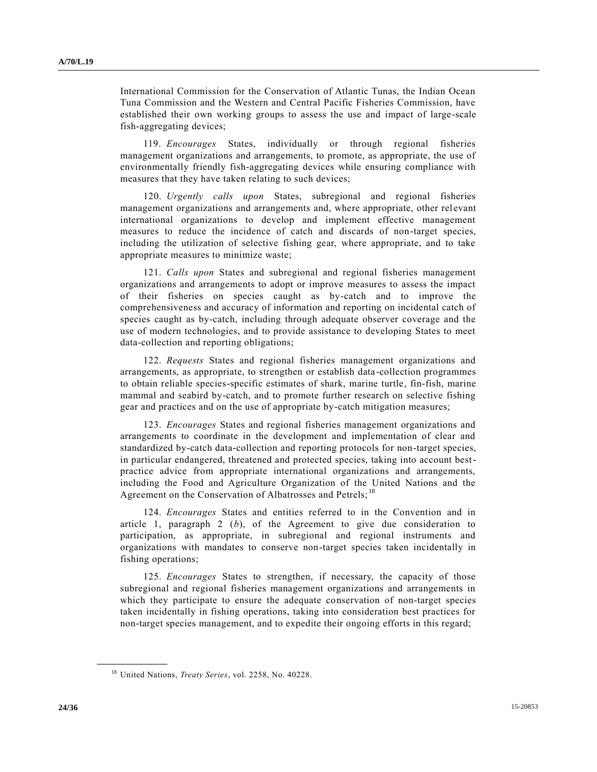International Commission for the Conservation of Atlantic Tunas, the Indian Ocean Tuna Commission and the Western and Central Pacific Fisheries Commission, have established their own working groups to assess the use and impact of large-scale fish-aggregating devices;

119. *Encourages* States, individually or through regional fisheries management organizations and arrangements, to promote, as appropriate, the use of environmentally friendly fish-aggregating devices while ensuring compliance with measures that they have taken relating to such devices;

120. *Urgently calls upon* States, subregional and regional fisheries management organizations and arrangements and, where appropriate, other relevant international organizations to develop and implement effective management measures to reduce the incidence of catch and discards of non-target species, including the utilization of selective fishing gear, where appropriate, and to take appropriate measures to minimize waste;

121. *Calls upon* States and subregional and regional fisheries management organizations and arrangements to adopt or improve measures to assess the impact of their fisheries on species caught as by-catch and to improve the comprehensiveness and accuracy of information and reporting on incidental catch of species caught as by-catch, including through adequate observer coverage and the use of modern technologies, and to provide assistance to developing States to meet data-collection and reporting obligations;

122. *Requests* States and regional fisheries management organizations and arrangements, as appropriate, to strengthen or establish data-collection programmes to obtain reliable species-specific estimates of shark, marine turtle, fin-fish, marine mammal and seabird by-catch, and to promote further research on selective fishing gear and practices and on the use of appropriate by-catch mitigation measures;

123. *Encourages* States and regional fisheries management organizations and arrangements to coordinate in the development and implementation of clear and standardized by-catch data-collection and reporting protocols for non-target species, in particular endangered, threatened and protected species, taking into account bestpractice advice from appropriate international organizations and arrangements, including the Food and Agriculture Organization of the United Nations and the Agreement on the Conservation of Albatrosses and Petrels;<sup>18</sup>

124. *Encourages* States and entities referred to in the Convention and in article 1, paragraph 2 (*b*), of the Agreement to give due consideration to participation, as appropriate, in subregional and regional instruments and organizations with mandates to conserve non-target species taken incidentally in fishing operations;

125. *Encourages* States to strengthen, if necessary, the capacity of those subregional and regional fisheries management organizations and arrangements in which they participate to ensure the adequate conservation of non-target species taken incidentally in fishing operations, taking into consideration best practices for non-target species management, and to expedite their ongoing efforts in this regard;

<sup>18</sup> United Nations, *Treaty Series*, vol. 2258, No. 40228.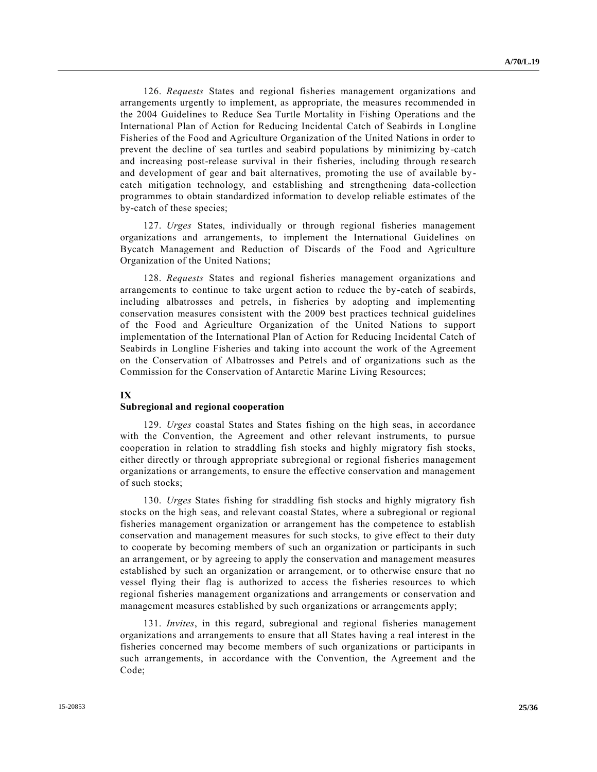126. *Requests* States and regional fisheries management organizations and arrangements urgently to implement, as appropriate, the measures recommended in the 2004 Guidelines to Reduce Sea Turtle Mortality in Fishing Operations and the International Plan of Action for Reducing Incidental Catch of Seabirds in Longline Fisheries of the Food and Agriculture Organization of the United Nations in order to prevent the decline of sea turtles and seabird populations by minimizing by-catch and increasing post-release survival in their fisheries, including through research and development of gear and bait alternatives, promoting the use of available bycatch mitigation technology, and establishing and strengthening data -collection programmes to obtain standardized information to develop reliable estimates of the by-catch of these species;

127. *Urges* States, individually or through regional fisheries management organizations and arrangements, to implement the International Guidelines on Bycatch Management and Reduction of Discards of the Food and Agriculture Organization of the United Nations;

128. *Requests* States and regional fisheries management organizations and arrangements to continue to take urgent action to reduce the by-catch of seabirds, including albatrosses and petrels, in fisheries by adopting and implementing conservation measures consistent with the 2009 best practices technical guidelines of the Food and Agriculture Organization of the United Nations to support implementation of the International Plan of Action for Reducing Incidental Catch of Seabirds in Longline Fisheries and taking into account the work of the Agreement on the Conservation of Albatrosses and Petrels and of organizations such as the Commission for the Conservation of Antarctic Marine Living Resources;

### **IX**

#### **Subregional and regional cooperation**

129. *Urges* coastal States and States fishing on the high seas, in accordance with the Convention, the Agreement and other relevant instruments, to pursue cooperation in relation to straddling fish stocks and highly migratory fish stocks, either directly or through appropriate subregional or regional fisheries management organizations or arrangements, to ensure the effective conservation and management of such stocks;

130. *Urges* States fishing for straddling fish stocks and highly migratory fish stocks on the high seas, and relevant coastal States, where a subregional or regional fisheries management organization or arrangement has the competence to establish conservation and management measures for such stocks, to give effect to their duty to cooperate by becoming members of such an organization or participants in such an arrangement, or by agreeing to apply the conservation and management measures established by such an organization or arrangement, or to otherwise ensure that no vessel flying their flag is authorized to access the fisheries resources to which regional fisheries management organizations and arrangements or conservation and management measures established by such organizations or arrangements apply;

131. *Invites*, in this regard, subregional and regional fisheries management organizations and arrangements to ensure that all States having a real interest in the fisheries concerned may become members of such organizations or participants in such arrangements, in accordance with the Convention, the Agreement and the Code;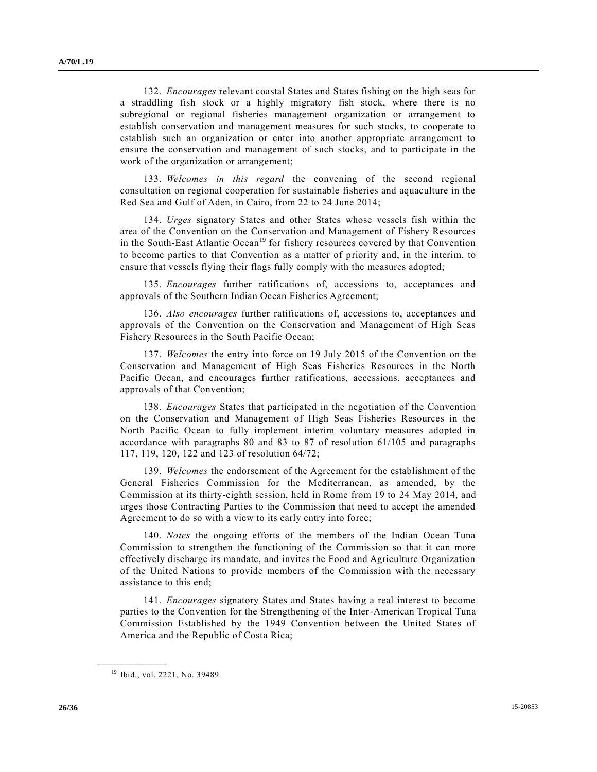132. *Encourages* relevant coastal States and States fishing on the high seas for a straddling fish stock or a highly migratory fish stock, where there is no subregional or regional fisheries management organization or arrangement to establish conservation and management measures for such stocks, to cooperate to establish such an organization or enter into another appropriate arrangement to ensure the conservation and management of such stocks, and to participate in the work of the organization or arrangement;

133. *Welcomes in this regard* the convening of the second regional consultation on regional cooperation for sustainable fisheries and aquaculture in the Red Sea and Gulf of Aden, in Cairo, from 22 to 24 June 2014;

134. *Urges* signatory States and other States whose vessels fish within the area of the Convention on the Conservation and Management of Fishery Resources in the South-East Atlantic Ocean<sup>19</sup> for fishery resources covered by that Convention to become parties to that Convention as a matter of priority and, in the interim, to ensure that vessels flying their flags fully comply with the measures adopted;

135. *Encourages* further ratifications of, accessions to, acceptances and approvals of the Southern Indian Ocean Fisheries Agreement;

136. *Also encourages* further ratifications of, accessions to, acceptances and approvals of the Convention on the Conservation and Management of High Seas Fishery Resources in the South Pacific Ocean;

137. *Welcomes* the entry into force on 19 July 2015 of the Convention on the Conservation and Management of High Seas Fisheries Resources in the North Pacific Ocean, and encourages further ratifications, accessions, acceptances and approvals of that Convention;

138. *Encourages* States that participated in the negotiation of the Convention on the Conservation and Management of High Seas Fisheries Resources in the North Pacific Ocean to fully implement interim voluntary measures adopted in accordance with paragraphs 80 and 83 to 87 of resolution 61/105 and paragraphs 117, 119, 120, 122 and 123 of resolution 64/72;

139. *Welcomes* the endorsement of the Agreement for the establishment of the General Fisheries Commission for the Mediterranean, as amended, by the Commission at its thirty-eighth session, held in Rome from 19 to 24 May 2014, and urges those Contracting Parties to the Commission that need to accept the amended Agreement to do so with a view to its early entry into force;

140. *Notes* the ongoing efforts of the members of the Indian Ocean Tuna Commission to strengthen the functioning of the Commission so that it can more effectively discharge its mandate, and invites the Food and Agriculture Organization of the United Nations to provide members of the Commission with the necessary assistance to this end;

141. *Encourages* signatory States and States having a real interest to become parties to the Convention for the Strengthening of the Inter-American Tropical Tuna Commission Established by the 1949 Convention between the United States of America and the Republic of Costa Rica;

<sup>&</sup>lt;sup>19</sup> Ibid., vol. 2221, No. 39489.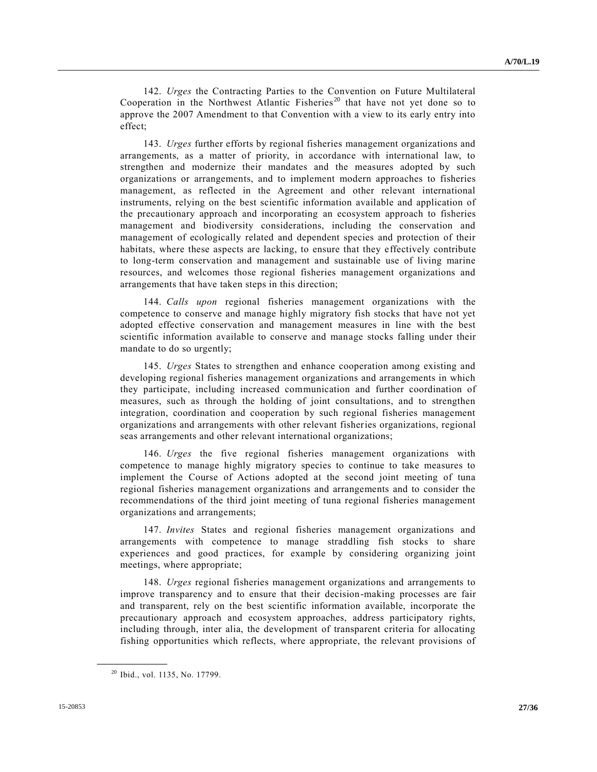142. *Urges* the Contracting Parties to the Convention on Future Multilateral Cooperation in the Northwest Atlantic Fisheries<sup>20</sup> that have not yet done so to approve the 2007 Amendment to that Convention with a view to its early entry into effect;

143. *Urges* further efforts by regional fisheries management organizations and arrangements, as a matter of priority, in accordance with international law, to strengthen and modernize their mandates and the measures adopted by such organizations or arrangements, and to implement modern approaches to fisheries management, as reflected in the Agreement and other relevant international instruments, relying on the best scientific information available and application of the precautionary approach and incorporating an ecosystem approach to fisheries management and biodiversity considerations, including the conservation and management of ecologically related and dependent species and protection of their habitats, where these aspects are lacking, to ensure that they effectively contribute to long-term conservation and management and sustainable use of living marine resources, and welcomes those regional fisheries management organizations and arrangements that have taken steps in this direction;

144. *Calls upon* regional fisheries management organizations with the competence to conserve and manage highly migratory fish stocks that have not yet adopted effective conservation and management measures in line with the best scientific information available to conserve and manage stocks falling under their mandate to do so urgently;

145. *Urges* States to strengthen and enhance cooperation among existing and developing regional fisheries management organizations and arrangements in which they participate, including increased communication and further coordination of measures, such as through the holding of joint consultations, and to strengthen integration, coordination and cooperation by such regional fisheries management organizations and arrangements with other relevant fisheries organizations, regional seas arrangements and other relevant international organizations;

146. *Urges* the five regional fisheries management organizations with competence to manage highly migratory species to continue to take measures to implement the Course of Actions adopted at the second joint meeting of tuna regional fisheries management organizations and arrangements and to consider the recommendations of the third joint meeting of tuna regional fisheries management organizations and arrangements;

147. *Invites* States and regional fisheries management organizations and arrangements with competence to manage straddling fish stocks to share experiences and good practices, for example by considering organizing joint meetings, where appropriate;

148. *Urges* regional fisheries management organizations and arrangements to improve transparency and to ensure that their decision-making processes are fair and transparent, rely on the best scientific information available, incorporate the precautionary approach and ecosystem approaches, address participatory rights, including through, inter alia, the development of transparent criteria for allocating fishing opportunities which reflects, where appropriate, the relevant provisions of

<sup>20</sup> Ibid., vol. 1135, No. 17799.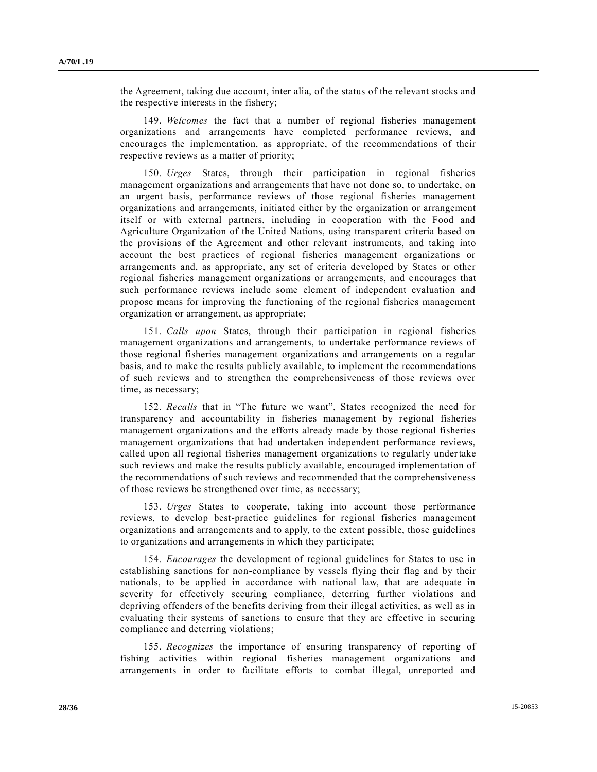the Agreement, taking due account, inter alia, of the status of the relevant stocks and the respective interests in the fishery;

149. *Welcomes* the fact that a number of regional fisheries management organizations and arrangements have completed performance reviews, and encourages the implementation, as appropriate, of the recommendations of their respective reviews as a matter of priority;

150. *Urges* States, through their participation in regional fisheries management organizations and arrangements that have not done so, to undertake, on an urgent basis, performance reviews of those regional fisheries management organizations and arrangements, initiated either by the organization or arrangement itself or with external partners, including in cooperation with the Food and Agriculture Organization of the United Nations, using transparent criteria based on the provisions of the Agreement and other relevant instruments, and taking into account the best practices of regional fisheries management organizations or arrangements and, as appropriate, any set of criteria developed by States or other regional fisheries management organizations or arrangements, and encourages that such performance reviews include some element of independent evaluation and propose means for improving the functioning of the regional fisheries management organization or arrangement, as appropriate;

151. *Calls upon* States, through their participation in regional fisheries management organizations and arrangements, to undertake performance reviews of those regional fisheries management organizations and arrangements on a regular basis, and to make the results publicly available, to implement the recommendations of such reviews and to strengthen the comprehensiveness of those reviews over time, as necessary;

152. *Recalls* that in "The future we want", States recognized the need for transparency and accountability in fisheries management by regional fisheries management organizations and the efforts already made by those regional fisheries management organizations that had undertaken independent performance reviews, called upon all regional fisheries management organizations to regularly undertake such reviews and make the results publicly available, encouraged implementation of the recommendations of such reviews and recommended that the comprehensiveness of those reviews be strengthened over time, as necessary;

153. *Urges* States to cooperate, taking into account those performance reviews, to develop best-practice guidelines for regional fisheries management organizations and arrangements and to apply, to the extent possible, those guidelines to organizations and arrangements in which they participate;

154. *Encourages* the development of regional guidelines for States to use in establishing sanctions for non-compliance by vessels flying their flag and by their nationals, to be applied in accordance with national law, that are adequate in severity for effectively securing compliance, deterring further violations and depriving offenders of the benefits deriving from their illegal activities, as well as in evaluating their systems of sanctions to ensure that they are effective in securing compliance and deterring violations;

155. *Recognizes* the importance of ensuring transparency of reporting of fishing activities within regional fisheries management organizations and arrangements in order to facilitate efforts to combat illegal, unreported and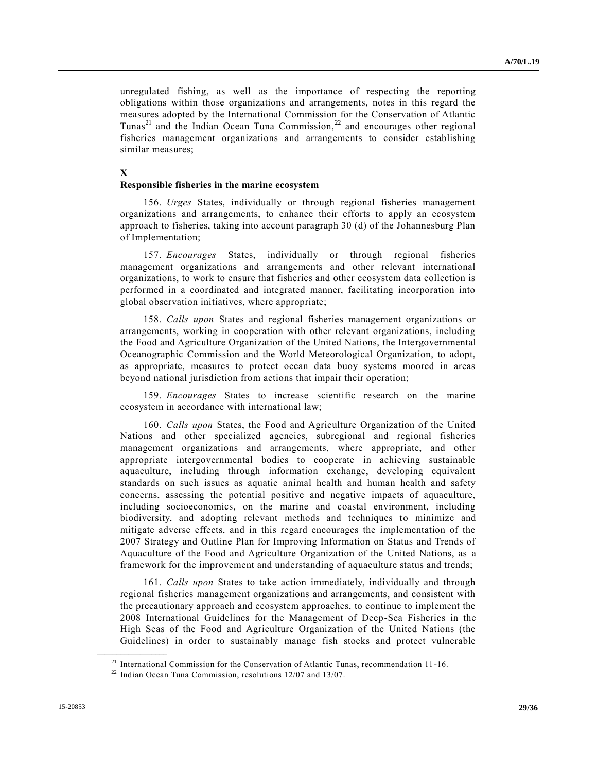unregulated fishing, as well as the importance of respecting the reporting obligations within those organizations and arrangements, notes in this regard the measures adopted by the International Commission for the Conservation of Atlantic Tunas<sup>21</sup> and the Indian Ocean Tuna Commission,<sup>22</sup> and encourages other regional fisheries management organizations and arrangements to consider establishing similar measures;

# **X**

# **Responsible fisheries in the marine ecosystem**

156. *Urges* States, individually or through regional fisheries management organizations and arrangements, to enhance their efforts to apply an ecosystem approach to fisheries, taking into account paragraph 30 (d) of the Johannesburg Plan of Implementation;

157. *Encourages* States, individually or through regional fisheries management organizations and arrangements and other relevant international organizations, to work to ensure that fisheries and other ecosystem data collection is performed in a coordinated and integrated manner, facilitating incorporation into global observation initiatives, where appropriate;

158. *Calls upon* States and regional fisheries management organizations or arrangements, working in cooperation with other relevant organizations, including the Food and Agriculture Organization of the United Nations, the Intergovernmental Oceanographic Commission and the World Meteorological Organization, to adopt, as appropriate, measures to protect ocean data buoy systems moored in areas beyond national jurisdiction from actions that impair their operation;

159. *Encourages* States to increase scientific research on the marine ecosystem in accordance with international law;

160. *Calls upon* States, the Food and Agriculture Organization of the United Nations and other specialized agencies, subregional and regional fisheries management organizations and arrangements, where appropriate, and other appropriate intergovernmental bodies to cooperate in achieving sustainable aquaculture, including through information exchange, developing equivalent standards on such issues as aquatic animal health and human health and safety concerns, assessing the potential positive and negative impacts of aquaculture, including socioeconomics, on the marine and coastal environment, including biodiversity, and adopting relevant methods and techniques to minimize and mitigate adverse effects, and in this regard encourages the implementation of the 2007 Strategy and Outline Plan for Improving Information on Status and Trends of Aquaculture of the Food and Agriculture Organization of the United Nations, as a framework for the improvement and understanding of aquaculture status and trends;

161. *Calls upon* States to take action immediately, individually and through regional fisheries management organizations and arrangements, and consistent with the precautionary approach and ecosystem approaches, to continue to implement the 2008 International Guidelines for the Management of Deep-Sea Fisheries in the High Seas of the Food and Agriculture Organization of the United Nations (the Guidelines) in order to sustainably manage fish stocks and protect vulnerable

<sup>21</sup> International Commission for the Conservation of Atlantic Tunas, recommendation 11 -16.

 $22$  Indian Ocean Tuna Commission, resolutions 12/07 and 13/07.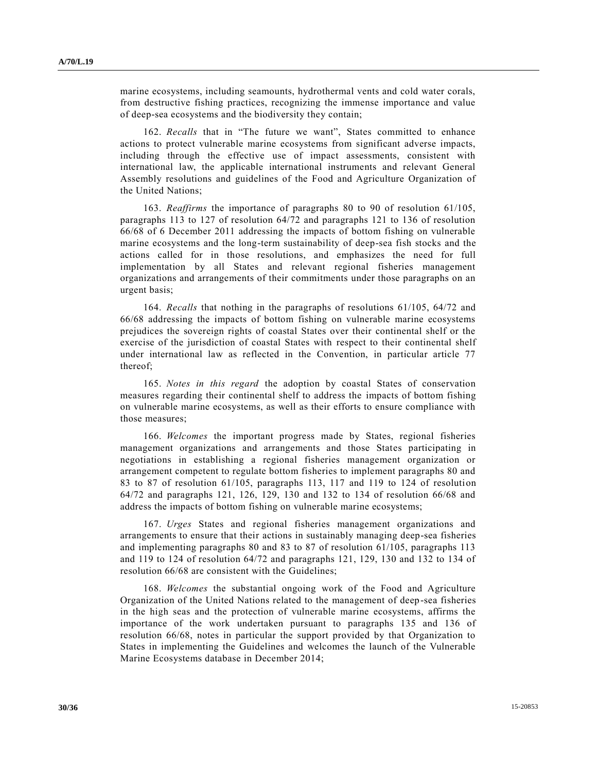marine ecosystems, including seamounts, hydrothermal vents and cold water corals, from destructive fishing practices, recognizing the immense importance and value of deep-sea ecosystems and the biodiversity they contain;

162. *Recalls* that in "The future we want", States committed to enhance actions to protect vulnerable marine ecosystems from significant adverse impacts, including through the effective use of impact assessments, consistent with international law, the applicable international instruments and relevant General Assembly resolutions and guidelines of the Food and Agriculture Organization of the United Nations;

163. *Reaffirms* the importance of paragraphs 80 to 90 of resolution 61/105, paragraphs 113 to 127 of resolution 64/72 and paragraphs 121 to 136 of resolution 66/68 of 6 December 2011 addressing the impacts of bottom fishing on vulnerable marine ecosystems and the long-term sustainability of deep-sea fish stocks and the actions called for in those resolutions, and emphasizes the need for full implementation by all States and relevant regional fisheries management organizations and arrangements of their commitments under those paragraphs on an urgent basis;

164. *Recalls* that nothing in the paragraphs of resolutions 61/105, 64/72 and 66/68 addressing the impacts of bottom fishing on vulnerable marine ecosystems prejudices the sovereign rights of coastal States over their continental shelf or the exercise of the jurisdiction of coastal States with respect to their continental shelf under international law as reflected in the Convention, in particular article 77 thereof;

165. *Notes in this regard* the adoption by coastal States of conservation measures regarding their continental shelf to address the impacts of bottom fishing on vulnerable marine ecosystems, as well as their efforts to ensure compliance with those measures;

166. *Welcomes* the important progress made by States, regional fisheries management organizations and arrangements and those States participating in negotiations in establishing a regional fisheries management organization or arrangement competent to regulate bottom fisheries to implement paragraphs 80 and 83 to 87 of resolution 61/105, paragraphs 113, 117 and 119 to 124 of resolution 64/72 and paragraphs 121, 126, 129, 130 and 132 to 134 of resolution 66/68 and address the impacts of bottom fishing on vulnerable marine ecosystems;

167. *Urges* States and regional fisheries management organizations and arrangements to ensure that their actions in sustainably managing deep-sea fisheries and implementing paragraphs 80 and 83 to 87 of resolution 61/105, paragraphs 113 and 119 to 124 of resolution 64/72 and paragraphs 121, 129, 130 and 132 to 134 of resolution 66/68 are consistent with the Guidelines;

168. *Welcomes* the substantial ongoing work of the Food and Agriculture Organization of the United Nations related to the management of deep-sea fisheries in the high seas and the protection of vulnerable marine ecosystems, affirms the importance of the work undertaken pursuant to paragraphs 135 and 136 of resolution 66/68, notes in particular the support provided by that Organization to States in implementing the Guidelines and welcomes the launch of the Vulnerable Marine Ecosystems database in December 2014;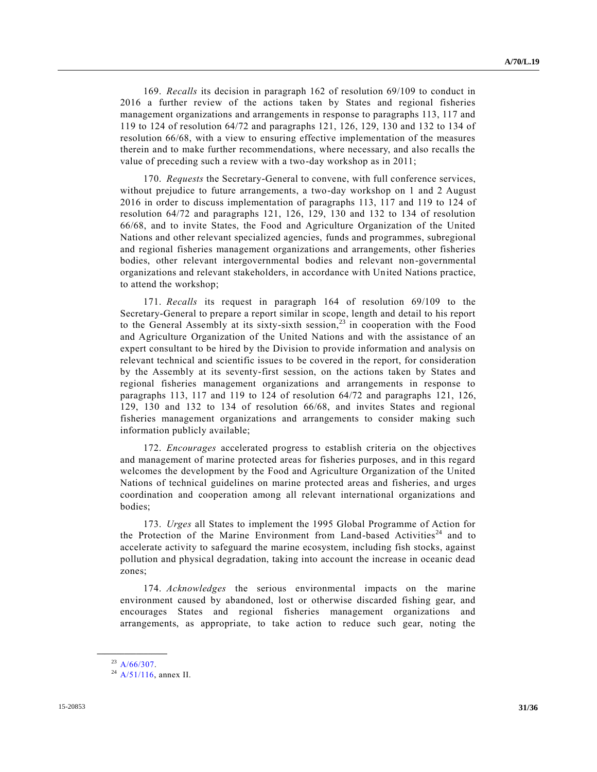169. *Recalls* its decision in paragraph 162 of resolution 69/109 to conduct in 2016 a further review of the actions taken by States and regional fisheries management organizations and arrangements in response to paragraphs 113, 117 and 119 to 124 of resolution 64/72 and paragraphs 121, 126, 129, 130 and 132 to 134 of resolution 66/68, with a view to ensuring effective implementation of the measures therein and to make further recommendations, where necessary, and also recalls the value of preceding such a review with a two-day workshop as in 2011;

170. *Requests* the Secretary-General to convene, with full conference services, without prejudice to future arrangements, a two-day workshop on 1 and 2 August 2016 in order to discuss implementation of paragraphs 113, 117 and 119 to 124 of resolution 64/72 and paragraphs 121, 126, 129, 130 and 132 to 134 of resolution 66/68, and to invite States, the Food and Agriculture Organization of the United Nations and other relevant specialized agencies, funds and programmes, subregional and regional fisheries management organizations and arrangements, other fisheries bodies, other relevant intergovernmental bodies and relevant non-governmental organizations and relevant stakeholders, in accordance with United Nations practice, to attend the workshop;

171. *Recalls* its request in paragraph 164 of resolution 69/109 to the Secretary-General to prepare a report similar in scope, length and detail to his report to the General Assembly at its sixty-sixth session, <sup>23</sup> in cooperation with the Food and Agriculture Organization of the United Nations and with the assistance of an expert consultant to be hired by the Division to provide information and analysis on relevant technical and scientific issues to be covered in the report, for consideration by the Assembly at its seventy-first session, on the actions taken by States and regional fisheries management organizations and arrangements in response to paragraphs 113, 117 and 119 to 124 of resolution 64/72 and paragraphs 121, 126, 129, 130 and 132 to 134 of resolution 66/68, and invites States and regional fisheries management organizations and arrangements to consider making such information publicly available;

172. *Encourages* accelerated progress to establish criteria on the objectives and management of marine protected areas for fisheries purposes, and in this regard welcomes the development by the Food and Agriculture Organization of the United Nations of technical guidelines on marine protected areas and fisheries, and urges coordination and cooperation among all relevant international organizations and bodies;

173. *Urges* all States to implement the 1995 Global Programme of Action for the Protection of the Marine Environment from Land-based Activities<sup>24</sup> and to accelerate activity to safeguard the marine ecosystem, including fish stocks, against pollution and physical degradation, taking into account the increase in oceanic dead zones;

174. *Acknowledges* the serious environmental impacts on the marine environment caused by abandoned, lost or otherwise discarded fishing gear, and encourages States and regional fisheries management organizations and arrangements, as appropriate, to take action to reduce such gear, noting the

**\_\_\_\_\_\_\_\_\_\_\_\_\_\_\_\_\_\_** <sup>23</sup> [A/66/307.](http://undocs.org/A/66/307)

 $^{24}$  [A/51/116,](http://undocs.org/A/51/116) annex II.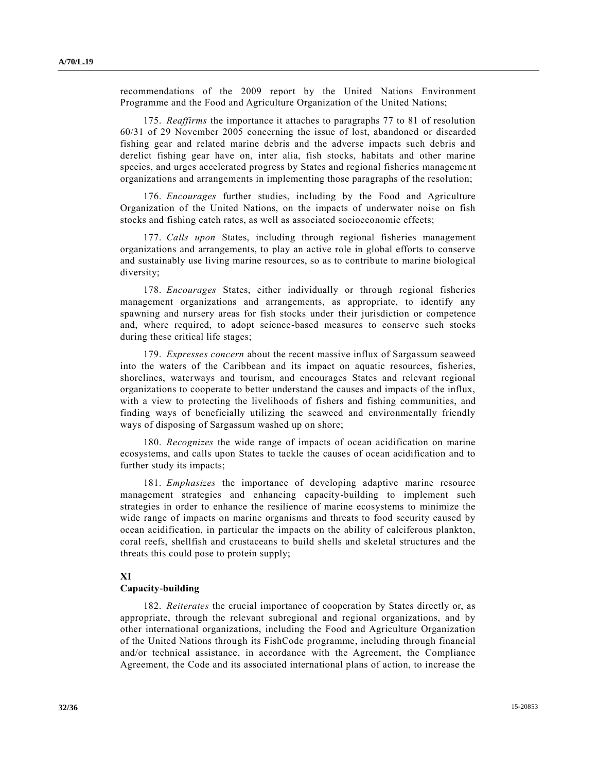recommendations of the 2009 report by the United Nations Environment Programme and the Food and Agriculture Organization of the United Nations;

175. *Reaffirms* the importance it attaches to paragraphs 77 to 81 of resolution 60/31 of 29 November 2005 concerning the issue of lost, abandoned or discarded fishing gear and related marine debris and the adverse impacts such debris and derelict fishing gear have on, inter alia, fish stocks, habitats and other marine species, and urges accelerated progress by States and regional fisheries manageme nt organizations and arrangements in implementing those paragraphs of the resolution;

176. *Encourages* further studies, including by the Food and Agriculture Organization of the United Nations, on the impacts of underwater noise on fish stocks and fishing catch rates, as well as associated socioeconomic effects;

177. *Calls upon* States, including through regional fisheries management organizations and arrangements, to play an active role in global efforts to conserve and sustainably use living marine resources, so as to contribute to marine biological diversity;

178. *Encourages* States, either individually or through regional fisheries management organizations and arrangements, as appropriate, to identify any spawning and nursery areas for fish stocks under their jurisdiction or competence and, where required, to adopt science-based measures to conserve such stocks during these critical life stages;

179. *Expresses concern* about the recent massive influx of Sargassum seaweed into the waters of the Caribbean and its impact on aquatic resources, fisheries, shorelines, waterways and tourism, and encourages States and relevant regional organizations to cooperate to better understand the causes and impacts of the influx, with a view to protecting the livelihoods of fishers and fishing communities, and finding ways of beneficially utilizing the seaweed and environmentally friendly ways of disposing of Sargassum washed up on shore;

180. *Recognizes* the wide range of impacts of ocean acidification on marine ecosystems, and calls upon States to tackle the causes of ocean acidification and to further study its impacts;

181. *Emphasizes* the importance of developing adaptive marine resource management strategies and enhancing capacity-building to implement such strategies in order to enhance the resilience of marine ecosystems to minimize the wide range of impacts on marine organisms and threats to food security caused by ocean acidification, in particular the impacts on the ability of calciferous plankton, coral reefs, shellfish and crustaceans to build shells and skeletal structures and the threats this could pose to protein supply;

### **XI**

## **Capacity-building**

182. *Reiterates* the crucial importance of cooperation by States directly or, as appropriate, through the relevant subregional and regional organizations, and by other international organizations, including the Food and Agriculture Organization of the United Nations through its FishCode programme, including through financial and/or technical assistance, in accordance with the Agreement, the Compliance Agreement, the Code and its associated international plans of action, to increase the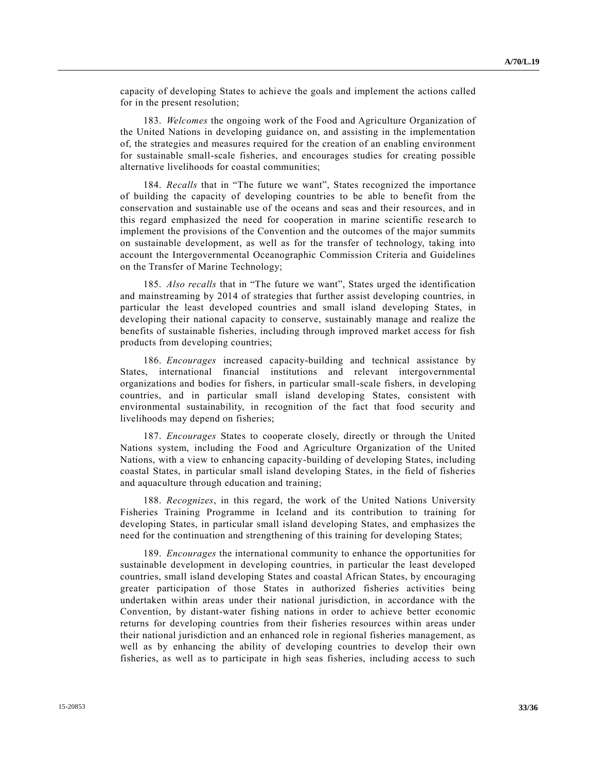capacity of developing States to achieve the goals and implement the actions called for in the present resolution;

183. *Welcomes* the ongoing work of the Food and Agriculture Organization of the United Nations in developing guidance on, and assisting in the implementation of, the strategies and measures required for the creation of an enabling environment for sustainable small-scale fisheries, and encourages studies for creating possible alternative livelihoods for coastal communities;

184. *Recalls* that in "The future we want", States recognized the importance of building the capacity of developing countries to be able to benefit from the conservation and sustainable use of the oceans and seas and their resources, and in this regard emphasized the need for cooperation in marine scientific rese arch to implement the provisions of the Convention and the outcomes of the major summits on sustainable development, as well as for the transfer of technology, taking into account the Intergovernmental Oceanographic Commission Criteria and Guidelines on the Transfer of Marine Technology;

185. *Also recalls* that in "The future we want", States urged the identification and mainstreaming by 2014 of strategies that further assist developing countries, in particular the least developed countries and small island developing States, in developing their national capacity to conserve, sustainably manage and realize the benefits of sustainable fisheries, including through improved market access for fish products from developing countries;

186. *Encourages* increased capacity-building and technical assistance by States, international financial institutions and relevant intergovernmental organizations and bodies for fishers, in particular small-scale fishers, in developing countries, and in particular small island developing States, consistent with environmental sustainability, in recognition of the fact that food security and livelihoods may depend on fisheries;

187. *Encourages* States to cooperate closely, directly or through the United Nations system, including the Food and Agriculture Organization of the United Nations, with a view to enhancing capacity-building of developing States, including coastal States, in particular small island developing States, in the field of fisheries and aquaculture through education and training;

188. *Recognizes*, in this regard, the work of the United Nations University Fisheries Training Programme in Iceland and its contribution to training for developing States, in particular small island developing States, and emphasizes the need for the continuation and strengthening of this training for developing States;

189. *Encourages* the international community to enhance the opportunities for sustainable development in developing countries, in particular the least developed countries, small island developing States and coastal African States, by encouraging greater participation of those States in authorized fisheries activities being undertaken within areas under their national jurisdiction, in accordance with the Convention, by distant-water fishing nations in order to achieve better economic returns for developing countries from their fisheries resources within areas under their national jurisdiction and an enhanced role in regional fisheries management, as well as by enhancing the ability of developing countries to develop their own fisheries, as well as to participate in high seas fisheries, including access to such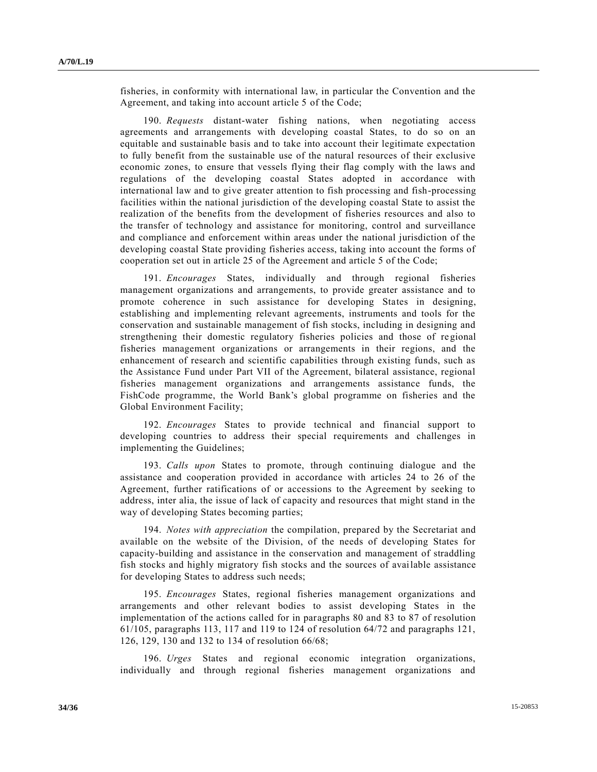fisheries, in conformity with international law, in particular the Convention and the Agreement, and taking into account article 5 of the Code;

190. *Requests* distant-water fishing nations, when negotiating access agreements and arrangements with developing coastal States, to do so on an equitable and sustainable basis and to take into account their legitimate expectation to fully benefit from the sustainable use of the natural resources of their exclusive economic zones, to ensure that vessels flying their flag comply with the laws and regulations of the developing coastal States adopted in accordance with international law and to give greater attention to fish processing and fish-processing facilities within the national jurisdiction of the developing coastal State to assist the realization of the benefits from the development of fisheries resources and also to the transfer of technology and assistance for monitoring, control and surveillance and compliance and enforcement within areas under the national jurisdiction of the developing coastal State providing fisheries access, taking into account the forms of cooperation set out in article 25 of the Agreement and article 5 of the Code;

191. *Encourages* States, individually and through regional fisheries management organizations and arrangements, to provide greater assistance and to promote coherence in such assistance for developing States in designing, establishing and implementing relevant agreements, instruments and tools for the conservation and sustainable management of fish stocks, including in designing and strengthening their domestic regulatory fisheries policies and those of regional fisheries management organizations or arrangements in their regions, and the enhancement of research and scientific capabilities through existing funds, such as the Assistance Fund under Part VII of the Agreement, bilateral assistance, regional fisheries management organizations and arrangements assistance funds, the FishCode programme, the World Bank's global programme on fisheries and the Global Environment Facility;

192. *Encourages* States to provide technical and financial support to developing countries to address their special requirements and challenges in implementing the Guidelines;

193. *Calls upon* States to promote, through continuing dialogue and the assistance and cooperation provided in accordance with articles 24 to 26 of the Agreement, further ratifications of or accessions to the Agreement by seeking to address, inter alia, the issue of lack of capacity and resources that might stand in the way of developing States becoming parties;

194. *Notes with appreciation* the compilation, prepared by the Secretariat and available on the website of the Division, of the needs of developing States for capacity-building and assistance in the conservation and management of straddling fish stocks and highly migratory fish stocks and the sources of available assistance for developing States to address such needs;

195. *Encourages* States, regional fisheries management organizations and arrangements and other relevant bodies to assist developing States in the implementation of the actions called for in paragraphs 80 and 83 to 87 of resolution 61/105, paragraphs 113, 117 and 119 to 124 of resolution 64/72 and paragraphs 121, 126, 129, 130 and 132 to 134 of resolution 66/68;

196. *Urges* States and regional economic integration organizations, individually and through regional fisheries management organizations and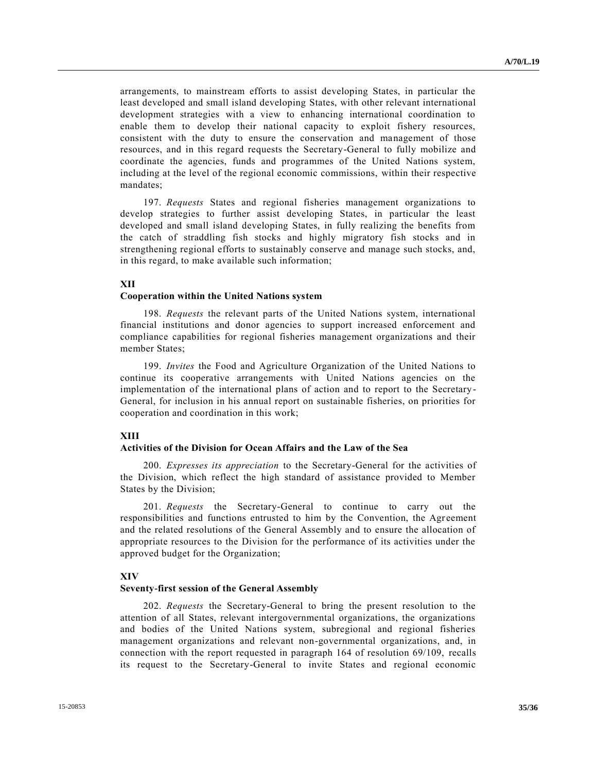arrangements, to mainstream efforts to assist developing States, in particular the least developed and small island developing States, with other relevant international development strategies with a view to enhancing international coordination to enable them to develop their national capacity to exploit fishery resources, consistent with the duty to ensure the conservation and management of those resources, and in this regard requests the Secretary-General to fully mobilize and coordinate the agencies, funds and programmes of the United Nations system, including at the level of the regional economic commissions, within their respective mandates;

197. *Requests* States and regional fisheries management organizations to develop strategies to further assist developing States, in particular the least developed and small island developing States, in fully realizing the benefits from the catch of straddling fish stocks and highly migratory fish stocks and in strengthening regional efforts to sustainably conserve and manage such stocks, and, in this regard, to make available such information;

### **XII**

### **Cooperation within the United Nations system**

198. *Requests* the relevant parts of the United Nations system, international financial institutions and donor agencies to support increased enforcement and compliance capabilities for regional fisheries management organizations and their member States;

199. *Invites* the Food and Agriculture Organization of the United Nations to continue its cooperative arrangements with United Nations agencies on the implementation of the international plans of action and to report to the Secretary-General, for inclusion in his annual report on sustainable fisheries, on priorities for cooperation and coordination in this work;

### **XIII**

#### **Activities of the Division for Ocean Affairs and the Law of the Sea**

200. *Expresses its appreciation* to the Secretary-General for the activities of the Division, which reflect the high standard of assistance provided to Member States by the Division;

201. *Requests* the Secretary-General to continue to carry out the responsibilities and functions entrusted to him by the Convention, the Agreement and the related resolutions of the General Assembly and to ensure the allocation of appropriate resources to the Division for the performance of its activities under the approved budget for the Organization;

#### **XIV**

#### **Seventy-first session of the General Assembly**

202. *Requests* the Secretary-General to bring the present resolution to the attention of all States, relevant intergovernmental organizations, the organizations and bodies of the United Nations system, subregional and regional fisheries management organizations and relevant non-governmental organizations, and, in connection with the report requested in paragraph 164 of resolution 69/109, recalls its request to the Secretary-General to invite States and regional economic